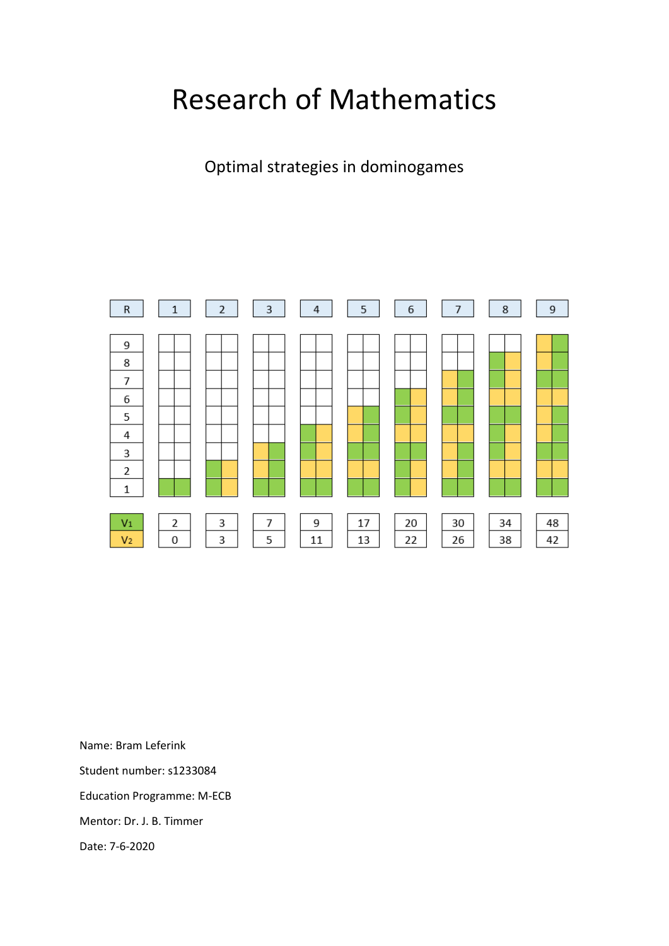# Research of Mathematics

Optimal strategies in dominogames



Name: Bram Leferink Student number: s1233084 Education Programme: M-ECB

Mentor: Dr. J. B. Timmer

Date: 7-6-2020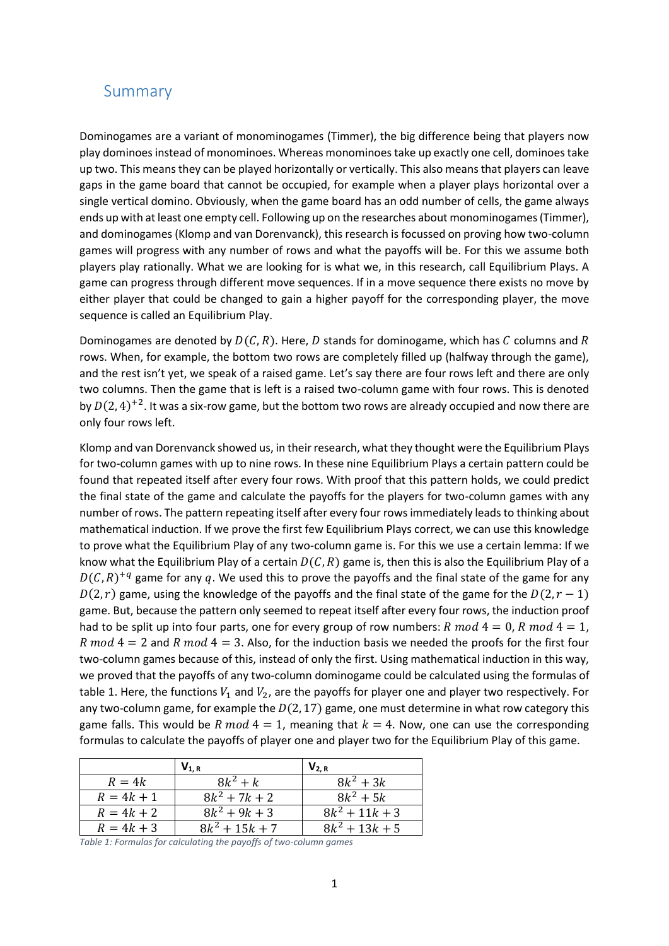## <span id="page-1-0"></span>Summary

Dominogames are a variant of monominogames (Timmer), the big difference being that players now play dominoes instead of monominoes. Whereas monominoes take up exactly one cell, dominoes take up two. This means they can be played horizontally or vertically. This also means that players can leave gaps in the game board that cannot be occupied, for example when a player plays horizontal over a single vertical domino. Obviously, when the game board has an odd number of cells, the game always ends up with at least one empty cell. Following up on the researches about monominogames (Timmer), and dominogames (Klomp and van Dorenvanck), this research is focussed on proving how two-column games will progress with any number of rows and what the payoffs will be. For this we assume both players play rationally. What we are looking for is what we, in this research, call Equilibrium Plays. A game can progress through different move sequences. If in a move sequence there exists no move by either player that could be changed to gain a higher payoff for the corresponding player, the move sequence is called an Equilibrium Play.

Dominogames are denoted by  $D(C, R)$ . Here, D stands for dominogame, which has C columns and R rows. When, for example, the bottom two rows are completely filled up (halfway through the game), and the rest isn't yet, we speak of a raised game. Let's say there are four rows left and there are only two columns. Then the game that is left is a raised two-column game with four rows. This is denoted by  $D(2, 4)^{+2}$ . It was a six-row game, but the bottom two rows are already occupied and now there are only four rows left.

Klomp and van Dorenvanck showed us, in their research, what they thought were the Equilibrium Plays for two-column games with up to nine rows. In these nine Equilibrium Plays a certain pattern could be found that repeated itself after every four rows. With proof that this pattern holds, we could predict the final state of the game and calculate the payoffs for the players for two-column games with any number of rows. The pattern repeating itself after every four rows immediately leads to thinking about mathematical induction. If we prove the first few Equilibrium Plays correct, we can use this knowledge to prove what the Equilibrium Play of any two-column game is. For this we use a certain lemma: If we know what the Equilibrium Play of a certain  $D(C, R)$  game is, then this is also the Equilibrium Play of a  $D(C,R)^{+q}$  game for any q. We used this to prove the payoffs and the final state of the game for any  $D(2, r)$  game, using the knowledge of the payoffs and the final state of the game for the  $D(2, r - 1)$ game. But, because the pattern only seemed to repeat itself after every four rows, the induction proof had to be split up into four parts, one for every group of row numbers: R mod  $4 = 0$ , R mod  $4 = 1$ , R mod  $4 = 2$  and R mod  $4 = 3$ . Also, for the induction basis we needed the proofs for the first four two-column games because of this, instead of only the first. Using mathematical induction in this way, we proved that the payoffs of any two-column dominogame could be calculated using the formulas of table 1. Here, the functions  $V_1$  and  $V_2$ , are the payoffs for player one and player two respectively. For any two-column game, for example the  $D(2, 17)$  game, one must determine in what row category this game falls. This would be R mod  $4 = 1$ , meaning that  $k = 4$ . Now, one can use the corresponding formulas to calculate the payoffs of player one and player two for the Equilibrium Play of this game.

|              | $V_{1, R}$       | $V_{2. R}$       |
|--------------|------------------|------------------|
| $R=4k$       | $8k^2 + k$       | $8k^2 + 3k$      |
| $R = 4k + 1$ | $8k^2 + 7k + 2$  | $8k^2 + 5k$      |
| $R = 4k + 2$ | $8k^2 + 9k + 3$  | $8k^2 + 11k + 3$ |
| $R = 4k + 3$ | $8k^2 + 15k + 7$ | $8k^2 + 13k + 5$ |

*Table 1: Formulas for calculating the payoffs of two-column games*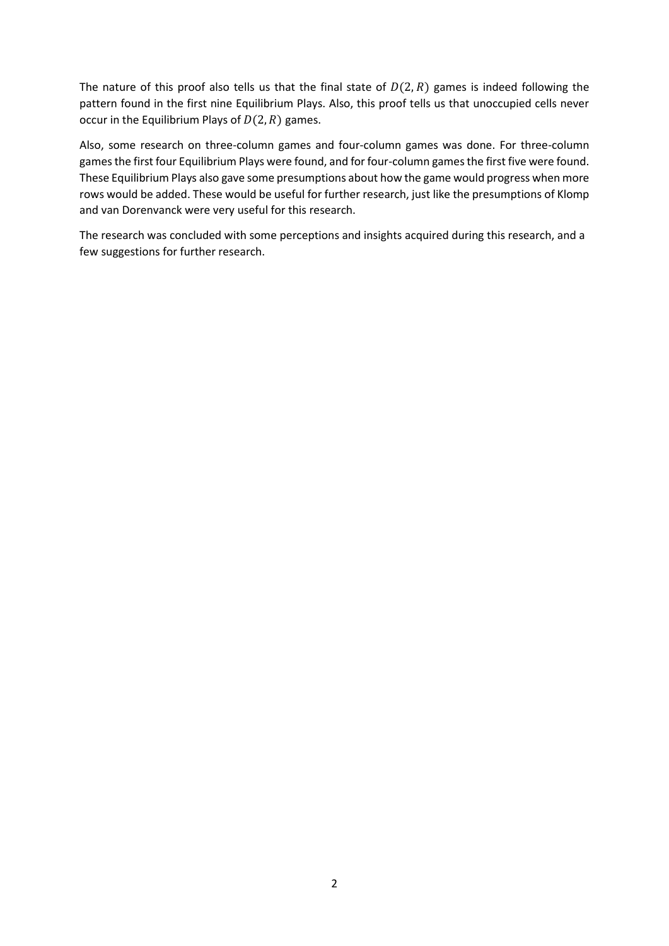The nature of this proof also tells us that the final state of  $D(2, R)$  games is indeed following the pattern found in the first nine Equilibrium Plays. Also, this proof tells us that unoccupied cells never occur in the Equilibrium Plays of  $D(2, R)$  games.

Also, some research on three-column games and four-column games was done. For three-column games the first four Equilibrium Plays were found, and for four-column games the first five were found. These Equilibrium Plays also gave some presumptions about how the game would progress when more rows would be added. These would be useful for further research, just like the presumptions of Klomp and van Dorenvanck were very useful for this research.

The research was concluded with some perceptions and insights acquired during this research, and a few suggestions for further research.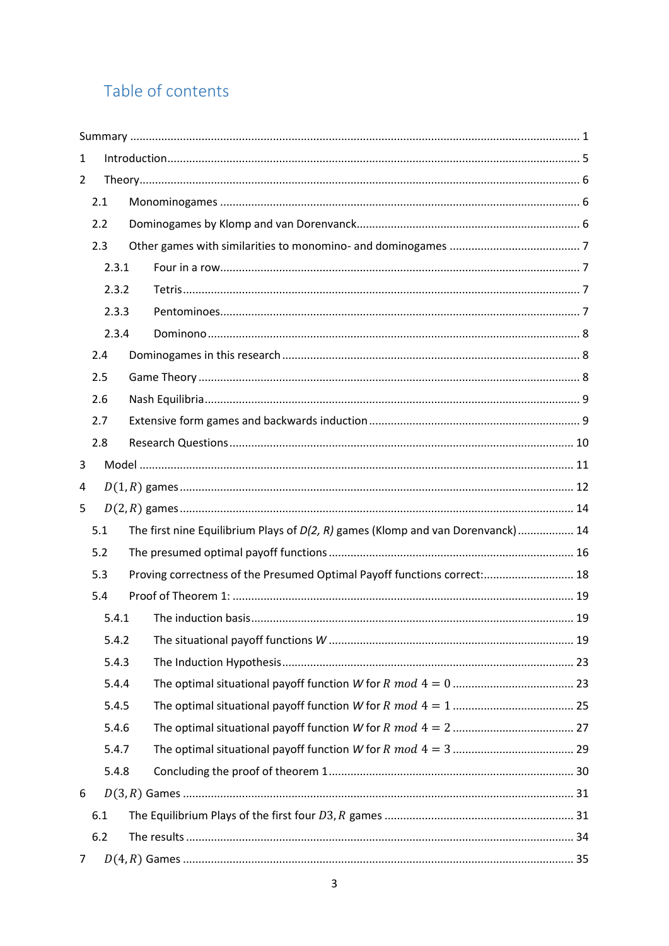## Table of contents

| $\mathbf{1}$ |       |                                                                                 |  |
|--------------|-------|---------------------------------------------------------------------------------|--|
| 2            |       |                                                                                 |  |
|              | 2.1   |                                                                                 |  |
|              | 2.2   |                                                                                 |  |
|              | 2.3   |                                                                                 |  |
|              | 2.3.1 |                                                                                 |  |
|              | 2.3.2 |                                                                                 |  |
|              | 2.3.3 |                                                                                 |  |
|              | 2.3.4 |                                                                                 |  |
|              | 2.4   |                                                                                 |  |
|              | 2.5   |                                                                                 |  |
|              | 2.6   |                                                                                 |  |
|              | 2.7   |                                                                                 |  |
|              | 2.8   |                                                                                 |  |
| 3            |       |                                                                                 |  |
| 4            |       |                                                                                 |  |
| 5            |       |                                                                                 |  |
|              | 5.1   | The first nine Equilibrium Plays of D(2, R) games (Klomp and van Dorenvanck) 14 |  |
|              | 5.2   |                                                                                 |  |
|              | 5.3   | Proving correctness of the Presumed Optimal Payoff functions correct: 18        |  |
|              | 5.4   |                                                                                 |  |
|              | 5.4.1 |                                                                                 |  |
|              | 5.4.2 |                                                                                 |  |
|              | 5.4.3 |                                                                                 |  |
|              | 5.4.4 |                                                                                 |  |
|              | 5.4.5 |                                                                                 |  |
|              | 5.4.6 |                                                                                 |  |
|              | 5.4.7 |                                                                                 |  |
|              | 5.4.8 |                                                                                 |  |
| 6            |       |                                                                                 |  |
|              | 6.1   |                                                                                 |  |
|              | 6.2   |                                                                                 |  |
| 7            |       |                                                                                 |  |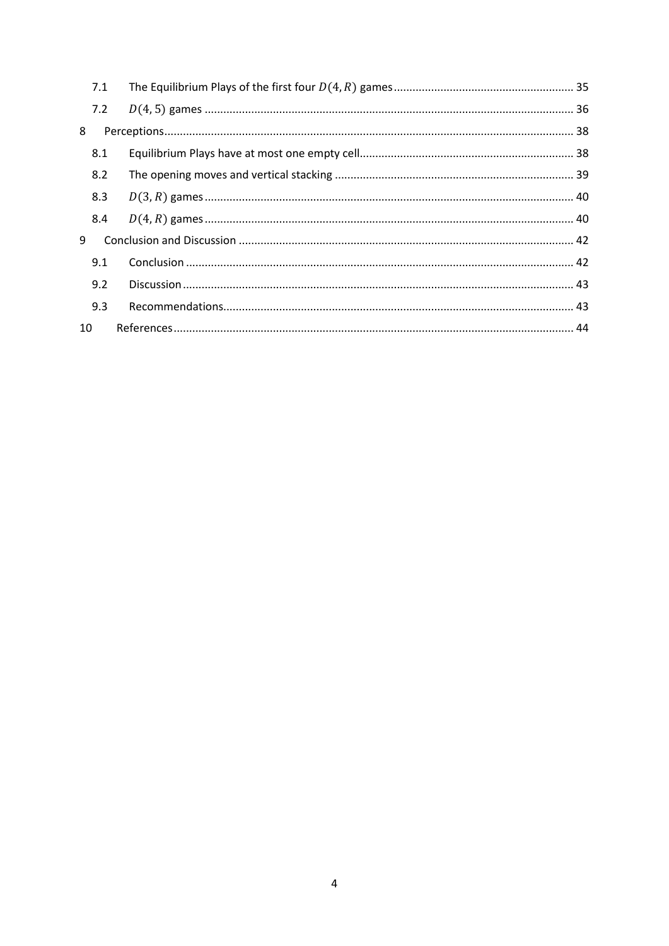|    | 7.1 |  |
|----|-----|--|
|    | 7.2 |  |
| 8  |     |  |
|    | 8.1 |  |
|    | 8.2 |  |
|    | 8.3 |  |
|    | 8.4 |  |
| 9  |     |  |
|    | 9.1 |  |
|    | 9.2 |  |
|    | 9.3 |  |
| 10 |     |  |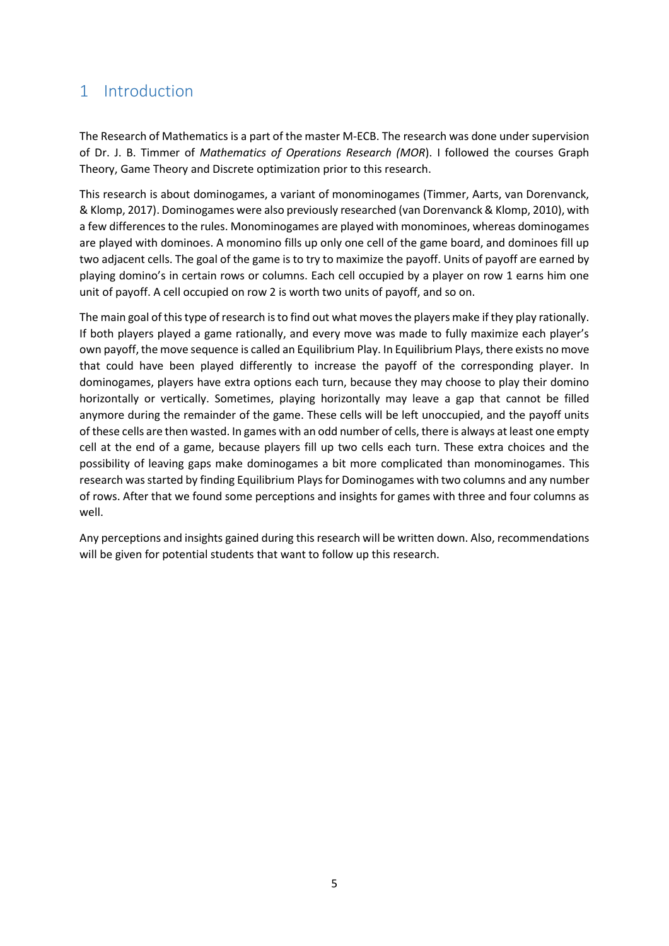## <span id="page-5-0"></span>1 Introduction

The Research of Mathematics is a part of the master M-ECB. The research was done under supervision of Dr. J. B. Timmer of *Mathematics of Operations Research (MOR*). I followed the courses Graph Theory, Game Theory and Discrete optimization prior to this research.

This research is about dominogames, a variant of monominogames (Timmer, Aarts, van Dorenvanck, & Klomp, 2017). Dominogames were also previously researched (van Dorenvanck & Klomp, 2010), with a few differences to the rules. Monominogames are played with monominoes, whereas dominogames are played with dominoes. A monomino fills up only one cell of the game board, and dominoes fill up two adjacent cells. The goal of the game is to try to maximize the payoff. Units of payoff are earned by playing domino's in certain rows or columns. Each cell occupied by a player on row 1 earns him one unit of payoff. A cell occupied on row 2 is worth two units of payoff, and so on.

The main goal of this type of research is to find out what moves the players make if they play rationally. If both players played a game rationally, and every move was made to fully maximize each player's own payoff, the move sequence is called an Equilibrium Play. In Equilibrium Plays, there exists no move that could have been played differently to increase the payoff of the corresponding player. In dominogames, players have extra options each turn, because they may choose to play their domino horizontally or vertically. Sometimes, playing horizontally may leave a gap that cannot be filled anymore during the remainder of the game. These cells will be left unoccupied, and the payoff units of these cells are then wasted. In games with an odd number of cells, there is always at least one empty cell at the end of a game, because players fill up two cells each turn. These extra choices and the possibility of leaving gaps make dominogames a bit more complicated than monominogames. This research was started by finding Equilibrium Plays for Dominogames with two columns and any number of rows. After that we found some perceptions and insights for games with three and four columns as well.

Any perceptions and insights gained during this research will be written down. Also, recommendations will be given for potential students that want to follow up this research.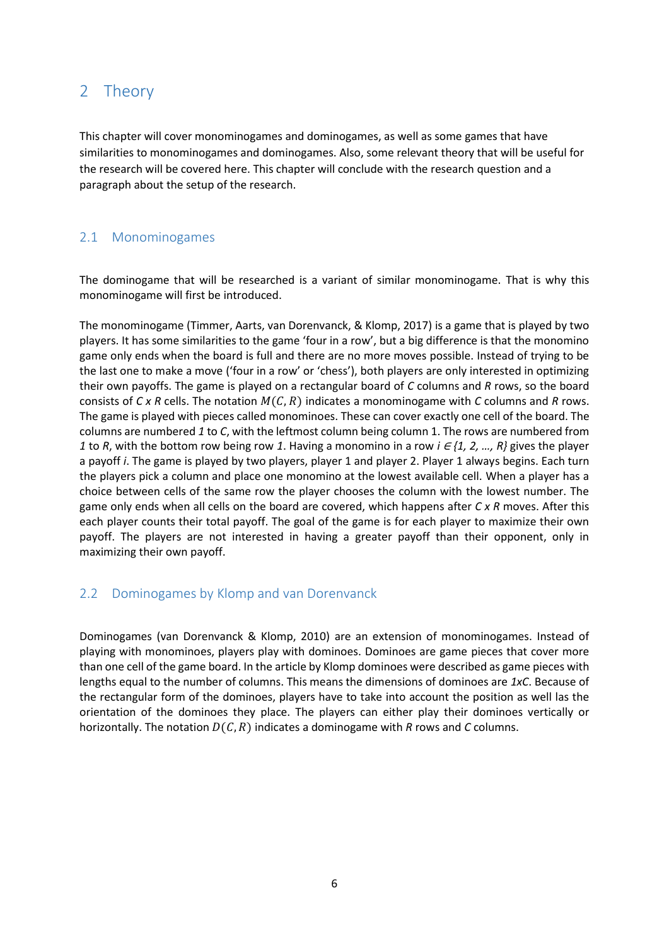## <span id="page-6-0"></span>2 Theory

This chapter will cover monominogames and dominogames, as well as some games that have similarities to monominogames and dominogames. Also, some relevant theory that will be useful for the research will be covered here. This chapter will conclude with the research question and a paragraph about the setup of the research.

### <span id="page-6-1"></span>2.1 Monominogames

The dominogame that will be researched is a variant of similar monominogame. That is why this monominogame will first be introduced.

The monominogame (Timmer, Aarts, van Dorenvanck, & Klomp, 2017) is a game that is played by two players. It has some similarities to the game 'four in a row', but a big difference is that the monomino game only ends when the board is full and there are no more moves possible. Instead of trying to be the last one to make a move ('four in a row' or 'chess'), both players are only interested in optimizing their own payoffs. The game is played on a rectangular board of *C* columns and *R* rows, so the board consists of  $C \times R$  cells. The notation  $M(C, R)$  indicates a monominogame with  $C$  columns and  $R$  rows. The game is played with pieces called monominoes. These can cover exactly one cell of the board. The columns are numbered *1* to *C*, with the leftmost column being column 1. The rows are numbered from *1* to *R*, with the bottom row being row *1*. Having a monomino in a row *i* ∈ *{1, 2, …, R}* gives the player a payoff *i*. The game is played by two players, player 1 and player 2. Player 1 always begins. Each turn the players pick a column and place one monomino at the lowest available cell. When a player has a choice between cells of the same row the player chooses the column with the lowest number. The game only ends when all cells on the board are covered, which happens after *C x R* moves. After this each player counts their total payoff. The goal of the game is for each player to maximize their own payoff. The players are not interested in having a greater payoff than their opponent, only in maximizing their own payoff.

## <span id="page-6-2"></span>2.2 Dominogames by Klomp and van Dorenvanck

Dominogames (van Dorenvanck & Klomp, 2010) are an extension of monominogames. Instead of playing with monominoes, players play with dominoes. Dominoes are game pieces that cover more than one cell of the game board. In the article by Klomp dominoes were described as game pieces with lengths equal to the number of columns. This means the dimensions of dominoes are *1xC*. Because of the rectangular form of the dominoes, players have to take into account the position as well las the orientation of the dominoes they place. The players can either play their dominoes vertically or horizontally. The notation  $D(C, R)$  indicates a dominogame with *R* rows and *C* columns.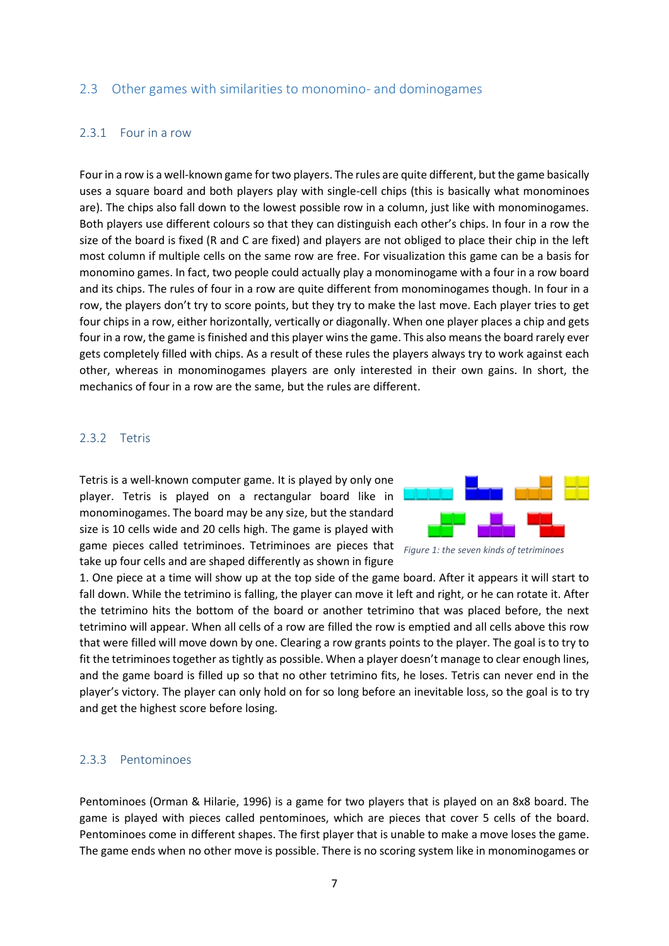#### <span id="page-7-0"></span>2.3 Other games with similarities to monomino- and dominogames

#### <span id="page-7-1"></span>2.3.1 Four in a row

Four in a row is a well-known game for two players. The rules are quite different, but the game basically uses a square board and both players play with single-cell chips (this is basically what monominoes are). The chips also fall down to the lowest possible row in a column, just like with monominogames. Both players use different colours so that they can distinguish each other's chips. In four in a row the size of the board is fixed (R and C are fixed) and players are not obliged to place their chip in the left most column if multiple cells on the same row are free. For visualization this game can be a basis for monomino games. In fact, two people could actually play a monominogame with a four in a row board and its chips. The rules of four in a row are quite different from monominogames though. In four in a row, the players don't try to score points, but they try to make the last move. Each player tries to get four chips in a row, either horizontally, vertically or diagonally. When one player places a chip and gets four in a row, the game is finished and this player wins the game. This also means the board rarely ever gets completely filled with chips. As a result of these rules the players always try to work against each other, whereas in monominogames players are only interested in their own gains. In short, the mechanics of four in a row are the same, but the rules are different.

#### <span id="page-7-2"></span>2.3.2 Tetris

Tetris is a well-known computer game. It is played by only one player. Tetris is played on a rectangular board like in monominogames. The board may be any size, but the standard size is 10 cells wide and 20 cells high. The game is played with game pieces called tetriminoes. Tetriminoes are pieces that *Figure 1: the seven kinds of tetriminoes*take up four cells and are shaped differently as shown in figure



1. One piece at a time will show up at the top side of the game board. After it appears it will start to fall down. While the tetrimino is falling, the player can move it left and right, or he can rotate it. After the tetrimino hits the bottom of the board or another tetrimino that was placed before, the next tetrimino will appear. When all cells of a row are filled the row is emptied and all cells above this row that were filled will move down by one. Clearing a row grants points to the player. The goal is to try to fit the tetriminoes together as tightly as possible. When a player doesn't manage to clear enough lines, and the game board is filled up so that no other tetrimino fits, he loses. Tetris can never end in the player's victory. The player can only hold on for so long before an inevitable loss, so the goal is to try and get the highest score before losing.

#### <span id="page-7-3"></span>2.3.3 Pentominoes

Pentominoes (Orman & Hilarie, 1996) is a game for two players that is played on an 8x8 board. The game is played with pieces called pentominoes, which are pieces that cover 5 cells of the board. Pentominoes come in different shapes. The first player that is unable to make a move loses the game. The game ends when no other move is possible. There is no scoring system like in monominogames or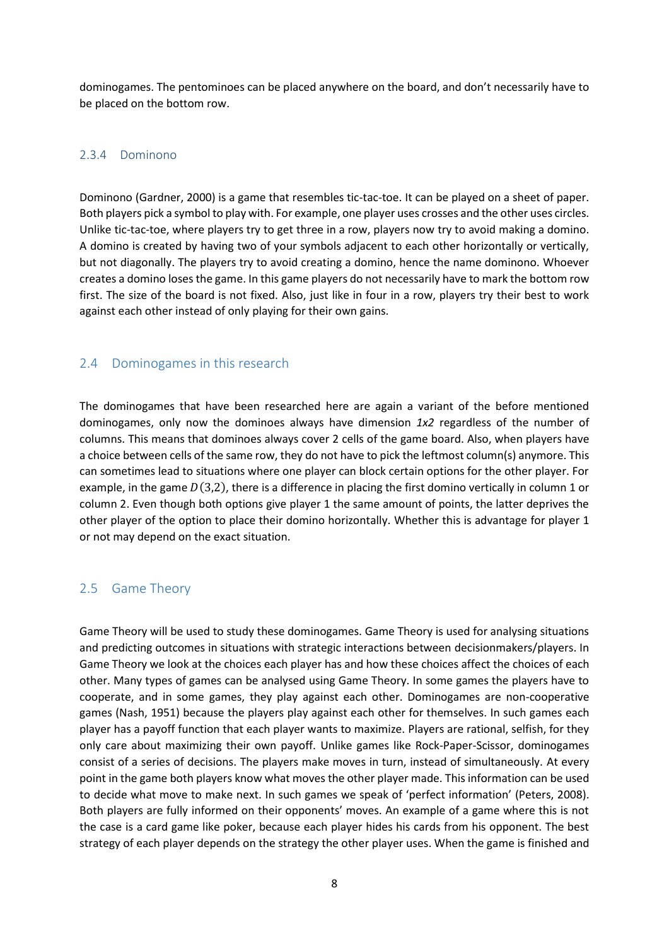dominogames. The pentominoes can be placed anywhere on the board, and don't necessarily have to be placed on the bottom row.

#### <span id="page-8-0"></span>2.3.4 Dominono

Dominono (Gardner, 2000) is a game that resembles tic-tac-toe. It can be played on a sheet of paper. Both players pick a symbol to play with. For example, one player uses crosses and the other uses circles. Unlike tic-tac-toe, where players try to get three in a row, players now try to avoid making a domino. A domino is created by having two of your symbols adjacent to each other horizontally or vertically, but not diagonally. The players try to avoid creating a domino, hence the name dominono. Whoever creates a domino loses the game. In this game players do not necessarily have to mark the bottom row first. The size of the board is not fixed. Also, just like in four in a row, players try their best to work against each other instead of only playing for their own gains.

## <span id="page-8-1"></span>2.4 Dominogames in this research

The dominogames that have been researched here are again a variant of the before mentioned dominogames, only now the dominoes always have dimension *1x2* regardless of the number of columns. This means that dominoes always cover 2 cells of the game board. Also, when players have a choice between cells of the same row, they do not have to pick the leftmost column(s) anymore. This can sometimes lead to situations where one player can block certain options for the other player. For example, in the game  $D(3,2)$ , there is a difference in placing the first domino vertically in column 1 or column 2. Even though both options give player 1 the same amount of points, the latter deprives the other player of the option to place their domino horizontally. Whether this is advantage for player 1 or not may depend on the exact situation.

## <span id="page-8-2"></span>2.5 Game Theory

Game Theory will be used to study these dominogames. Game Theory is used for analysing situations and predicting outcomes in situations with strategic interactions between decisionmakers/players. In Game Theory we look at the choices each player has and how these choices affect the choices of each other. Many types of games can be analysed using Game Theory. In some games the players have to cooperate, and in some games, they play against each other. Dominogames are non-cooperative games (Nash, 1951) because the players play against each other for themselves. In such games each player has a payoff function that each player wants to maximize. Players are rational, selfish, for they only care about maximizing their own payoff. Unlike games like Rock-Paper-Scissor, dominogames consist of a series of decisions. The players make moves in turn, instead of simultaneously. At every point in the game both players know what moves the other player made. This information can be used to decide what move to make next. In such games we speak of 'perfect information' (Peters, 2008). Both players are fully informed on their opponents' moves. An example of a game where this is not the case is a card game like poker, because each player hides his cards from his opponent. The best strategy of each player depends on the strategy the other player uses. When the game is finished and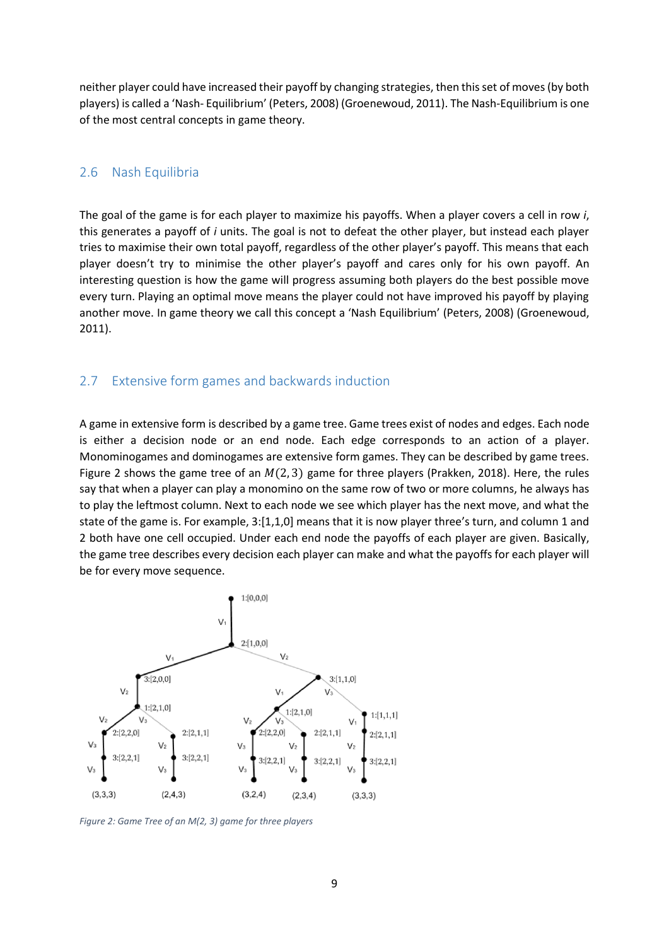neither player could have increased their payoff by changing strategies, then this set of moves (by both players) is called a 'Nash- Equilibrium' (Peters, 2008) (Groenewoud, 2011). The Nash-Equilibrium is one of the most central concepts in game theory.

#### <span id="page-9-0"></span>2.6 Nash Equilibria

The goal of the game is for each player to maximize his payoffs. When a player covers a cell in row *i*, this generates a payoff of *i* units. The goal is not to defeat the other player, but instead each player tries to maximise their own total payoff, regardless of the other player's payoff. This means that each player doesn't try to minimise the other player's payoff and cares only for his own payoff. An interesting question is how the game will progress assuming both players do the best possible move every turn. Playing an optimal move means the player could not have improved his payoff by playing another move. In game theory we call this concept a 'Nash Equilibrium' (Peters, 2008) (Groenewoud, 2011).

#### <span id="page-9-1"></span>2.7 Extensive form games and backwards induction

A game in extensive form is described by a game tree. Game trees exist of nodes and edges. Each node is either a decision node or an end node. Each edge corresponds to an action of a player. Monominogames and dominogames are extensive form games. They can be described by game trees. Figure 2 shows the game tree of an  $M(2, 3)$  game for three players (Prakken, 2018). Here, the rules say that when a player can play a monomino on the same row of two or more columns, he always has to play the leftmost column. Next to each node we see which player has the next move, and what the state of the game is. For example, 3:[1,1,0] means that it is now player three's turn, and column 1 and 2 both have one cell occupied. Under each end node the payoffs of each player are given. Basically, the game tree describes every decision each player can make and what the payoffs for each player will be for every move sequence.



*Figure 2: Game Tree of an M(2, 3) game for three players*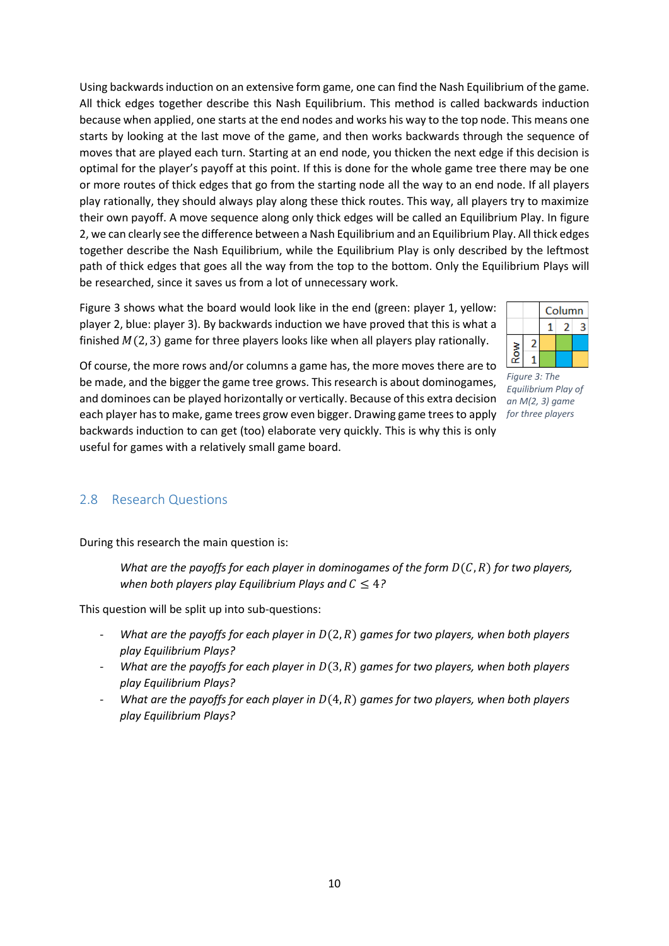Using backwards induction on an extensive form game, one can find the Nash Equilibrium of the game. All thick edges together describe this Nash Equilibrium. This method is called backwards induction because when applied, one starts at the end nodes and works his way to the top node. This means one starts by looking at the last move of the game, and then works backwards through the sequence of moves that are played each turn. Starting at an end node, you thicken the next edge if this decision is optimal for the player's payoff at this point. If this is done for the whole game tree there may be one or more routes of thick edges that go from the starting node all the way to an end node. If all players play rationally, they should always play along these thick routes. This way, all players try to maximize their own payoff. A move sequence along only thick edges will be called an Equilibrium Play. In figure 2, we can clearly see the difference between a Nash Equilibrium and an Equilibrium Play. All thick edges together describe the Nash Equilibrium, while the Equilibrium Play is only described by the leftmost path of thick edges that goes all the way from the top to the bottom. Only the Equilibrium Plays will be researched, since it saves us from a lot of unnecessary work.

Figure 3 shows what the board would look like in the end (green: player 1, yellow: player 2, blue: player 3). By backwards induction we have proved that this is what a finished  $M(2, 3)$  game for three players looks like when all players play rationally.



Of course, the more rows and/or columns a game has, the more moves there are to be made, and the bigger the game tree grows. This research is about dominogames, and dominoes can be played horizontally or vertically. Because of this extra decision each player has to make, game trees grow even bigger. Drawing game trees to apply *for three players*backwards induction to can get (too) elaborate very quickly. This is why this is only useful for games with a relatively small game board.

*Figure 3: The Equilibrium Play of an M(2, 3) game* 

## <span id="page-10-0"></span>2.8 Research Questions

During this research the main question is:

*What are the payoffs for each player in dominogames of the form*  $D(C, R)$  *for two players, when both players play Equilibrium Plays and*  $C \leq 4$ *?* 

This question will be split up into sub-questions:

- *What are the payoffs for each player in* (2, ) *games for two players, when both players play Equilibrium Plays?*
- *What are the payoffs for each player in*  $D(3, R)$  *games for two players, when both players play Equilibrium Plays?*
- *What are the payoffs for each player in*  $D(4, R)$  *games for two players, when both players play Equilibrium Plays?*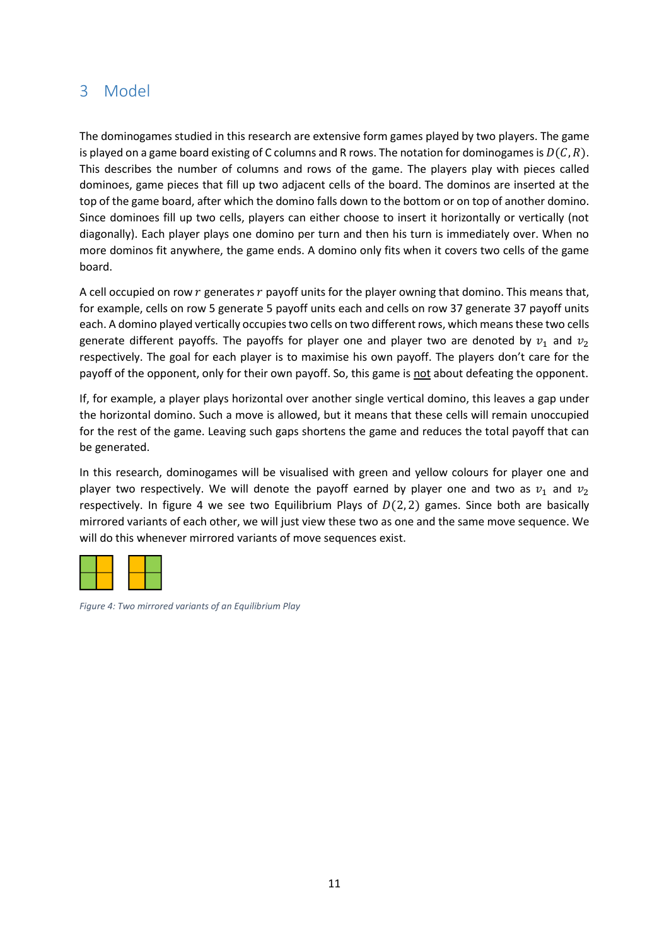## <span id="page-11-0"></span>3 Model

The dominogames studied in this research are extensive form games played by two players. The game is played on a game board existing of C columns and R rows. The notation for dominogames is  $D(C, R)$ . This describes the number of columns and rows of the game. The players play with pieces called dominoes, game pieces that fill up two adjacent cells of the board. The dominos are inserted at the top of the game board, after which the domino falls down to the bottom or on top of another domino. Since dominoes fill up two cells, players can either choose to insert it horizontally or vertically (not diagonally). Each player plays one domino per turn and then his turn is immediately over. When no more dominos fit anywhere, the game ends. A domino only fits when it covers two cells of the game board.

A cell occupied on row  $r$  generates  $r$  payoff units for the player owning that domino. This means that, for example, cells on row 5 generate 5 payoff units each and cells on row 37 generate 37 payoff units each. A domino played vertically occupies two cells on two different rows, which means these two cells generate different payoffs. The payoffs for player one and player two are denoted by  $v_1$  and  $v_2$ respectively. The goal for each player is to maximise his own payoff. The players don't care for the payoff of the opponent, only for their own payoff. So, this game is not about defeating the opponent.

If, for example, a player plays horizontal over another single vertical domino, this leaves a gap under the horizontal domino. Such a move is allowed, but it means that these cells will remain unoccupied for the rest of the game. Leaving such gaps shortens the game and reduces the total payoff that can be generated.

In this research, dominogames will be visualised with green and yellow colours for player one and player two respectively. We will denote the payoff earned by player one and two as  $v_1$  and  $v_2$ respectively. In figure 4 we see two Equilibrium Plays of  $D(2, 2)$  games. Since both are basically mirrored variants of each other, we will just view these two as one and the same move sequence. We will do this whenever mirrored variants of move sequences exist.



*Figure 4: Two mirrored variants of an Equilibrium Play*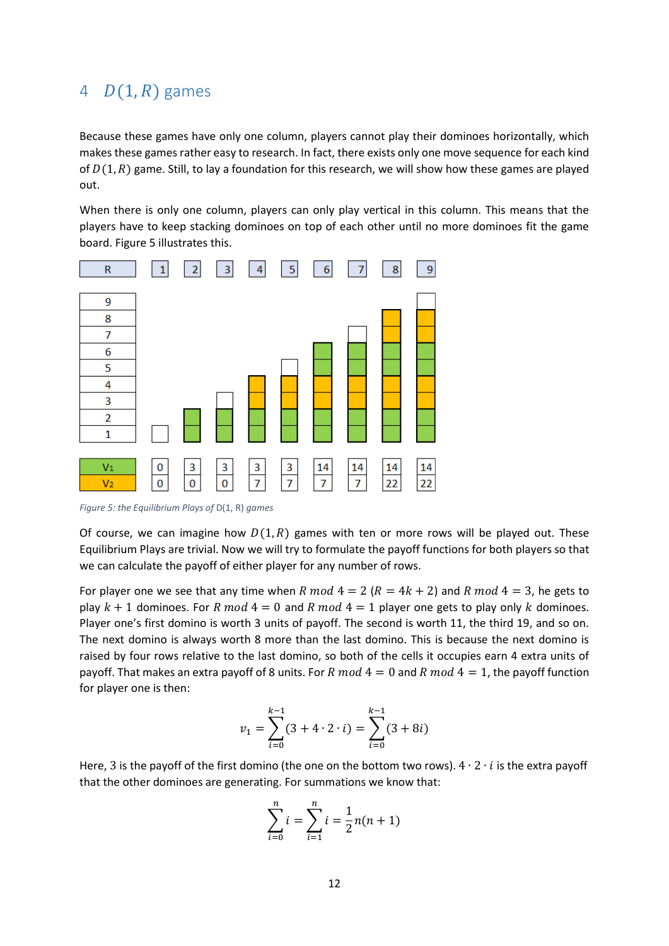## <span id="page-12-0"></span>4  $D(1, R)$  games

Because these games have only one column, players cannot play their dominoes horizontally, which makes these games rather easy to research. In fact, there exists only one move sequence for each kind of  $D(1, R)$  game. Still, to lay a foundation for this research, we will show how these games are played out.

When there is only one column, players can only play vertical in this column. This means that the players have to keep stacking dominoes on top of each other until no more dominoes fit the game board. Figure 5 illustrates this.



*Figure 5: the Equilibrium Plays of* D(1, R) *games*

Of course, we can imagine how  $D(1, R)$  games with ten or more rows will be played out. These Equilibrium Plays are trivial. Now we will try to formulate the payoff functions for both players so that we can calculate the payoff of either player for any number of rows.

For player one we see that any time when R mod  $4 = 2 (R = 4k + 2)$  and R mod  $4 = 3$ , he gets to play  $k + 1$  dominoes. For R mod  $4 = 0$  and R mod  $4 = 1$  player one gets to play only k dominoes. Player one's first domino is worth 3 units of payoff. The second is worth 11, the third 19, and so on. The next domino is always worth 8 more than the last domino. This is because the next domino is raised by four rows relative to the last domino, so both of the cells it occupies earn 4 extra units of payoff. That makes an extra payoff of 8 units. For R  $mod\ 4 = 0$  and R  $mod\ 4 = 1$ , the payoff function for player one is then:

$$
v_1 = \sum_{i=0}^{k-1} (3 + 4 \cdot 2 \cdot i) = \sum_{i=0}^{k-1} (3 + 8i)
$$

Here, 3 is the payoff of the first domino (the one on the bottom two rows).  $4 \cdot 2 \cdot i$  is the extra payoff that the other dominoes are generating. For summations we know that:

$$
\sum_{i=0}^{n} i = \sum_{i=1}^{n} i = \frac{1}{2} n(n+1)
$$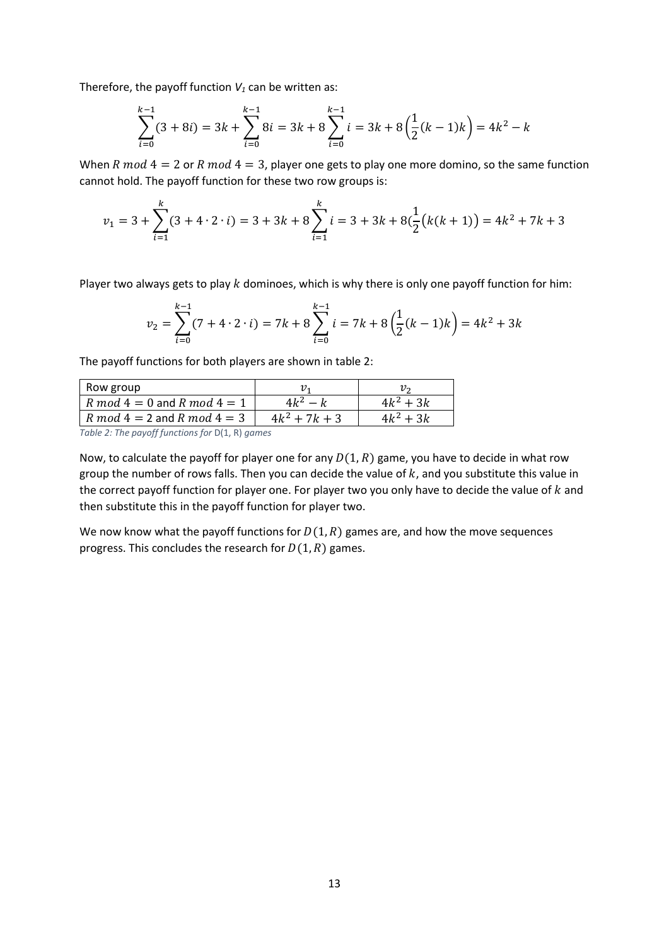Therefore, the payoff function  $V_1$  can be written as:

$$
\sum_{i=0}^{k-1} (3+8i) = 3k + \sum_{i=0}^{k-1} 8i = 3k + 8 \sum_{i=0}^{k-1} i = 3k + 8 \left(\frac{1}{2}(k-1)k\right) = 4k^2 - k
$$

When R  $mod\ 4 = 2$  or R  $mod\ 4 = 3$ , player one gets to play one more domino, so the same function cannot hold. The payoff function for these two row groups is:

$$
v_1 = 3 + \sum_{i=1}^{k} (3 + 4 \cdot 2 \cdot i) = 3 + 3k + 8 \sum_{i=1}^{k} i = 3 + 3k + 8 \left(\frac{1}{2} \left(k(k+1)\right)\right) = 4k^2 + 7k + 3
$$

Player two always gets to play  $k$  dominoes, which is why there is only one payoff function for him:

$$
\nu_2 = \sum_{i=0}^{k-1} (7 + 4 \cdot 2 \cdot i) = 7k + 8 \sum_{i=0}^{k-1} i = 7k + 8 \left(\frac{1}{2}(k-1)k\right) = 4k^2 + 3k
$$

The payoff functions for both players are shown in table 2:

| Row group                                                                                                                                           |                 |             |
|-----------------------------------------------------------------------------------------------------------------------------------------------------|-----------------|-------------|
| R mod $4=0$ and R mod $4=1$                                                                                                                         | 11.Z            | $4k^2 + 3k$ |
| $R \mod 4 = 2$ and $R \mod 4 = 3$                                                                                                                   | $4k^2 + 7k + 3$ | $4k^2 + 3k$ |
| $\tau$ . L.I. $\gamma$ , $\tau$ is a sum of formation of a $\mathbb{R}$ in $\mathbb{R}$ is $\mathbb{R}$ in $\mathbb{R}$ in $\mathbb{R}$ is a summer |                 |             |

*Table 2: The payoff functions for* D(1, R) *games*

Now, to calculate the payoff for player one for any  $D(1, R)$  game, you have to decide in what row group the number of rows falls. Then you can decide the value of  $k$ , and you substitute this value in the correct payoff function for player one. For player two you only have to decide the value of  $k$  and then substitute this in the payoff function for player two.

We now know what the payoff functions for  $D(1, R)$  games are, and how the move sequences progress. This concludes the research for  $D(1, R)$  games.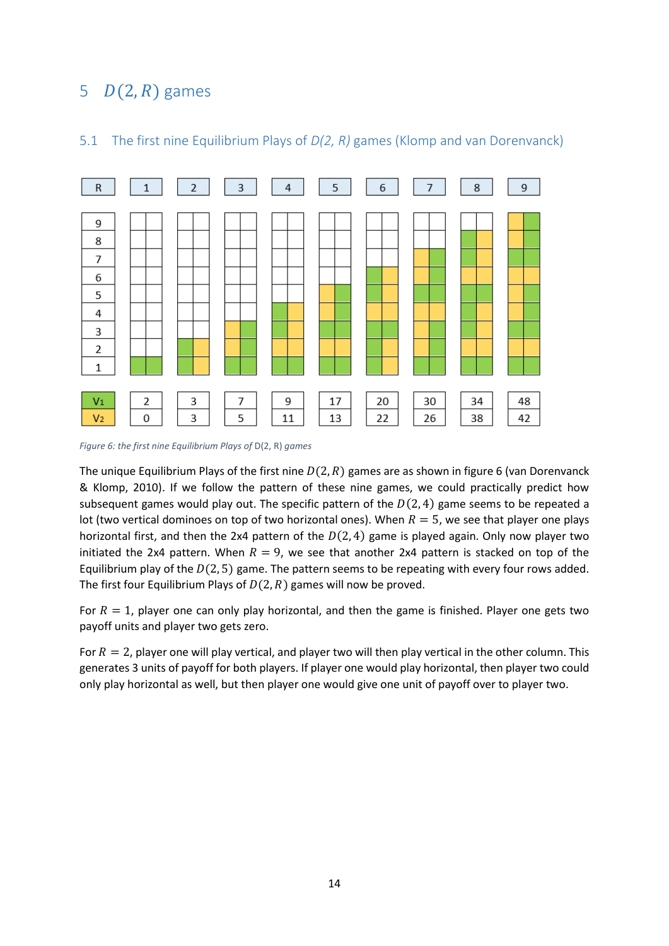## <span id="page-14-0"></span>5  $D(2, R)$  games



### <span id="page-14-1"></span>5.1 The first nine Equilibrium Plays of *D(2, R)* games (Klomp and van Dorenvanck)

*Figure 6: the first nine Equilibrium Plays of* D(2, R) *games*

The unique Equilibrium Plays of the first nine  $D(2, R)$  games are as shown in figure 6 (van Dorenvanck & Klomp, 2010). If we follow the pattern of these nine games, we could practically predict how subsequent games would play out. The specific pattern of the  $D(2, 4)$  game seems to be repeated a lot (two vertical dominoes on top of two horizontal ones). When  $R = 5$ , we see that player one plays horizontal first, and then the 2x4 pattern of the  $D(2, 4)$  game is played again. Only now player two initiated the 2x4 pattern. When  $R = 9$ , we see that another 2x4 pattern is stacked on top of the Equilibrium play of the  $D(2, 5)$  game. The pattern seems to be repeating with every four rows added. The first four Equilibrium Plays of  $D(2,R)$  games will now be proved.

For  $R = 1$ , player one can only play horizontal, and then the game is finished. Player one gets two payoff units and player two gets zero.

For  $R = 2$ , player one will play vertical, and player two will then play vertical in the other column. This generates 3 units of payoff for both players. If player one would play horizontal, then player two could only play horizontal as well, but then player one would give one unit of payoff over to player two.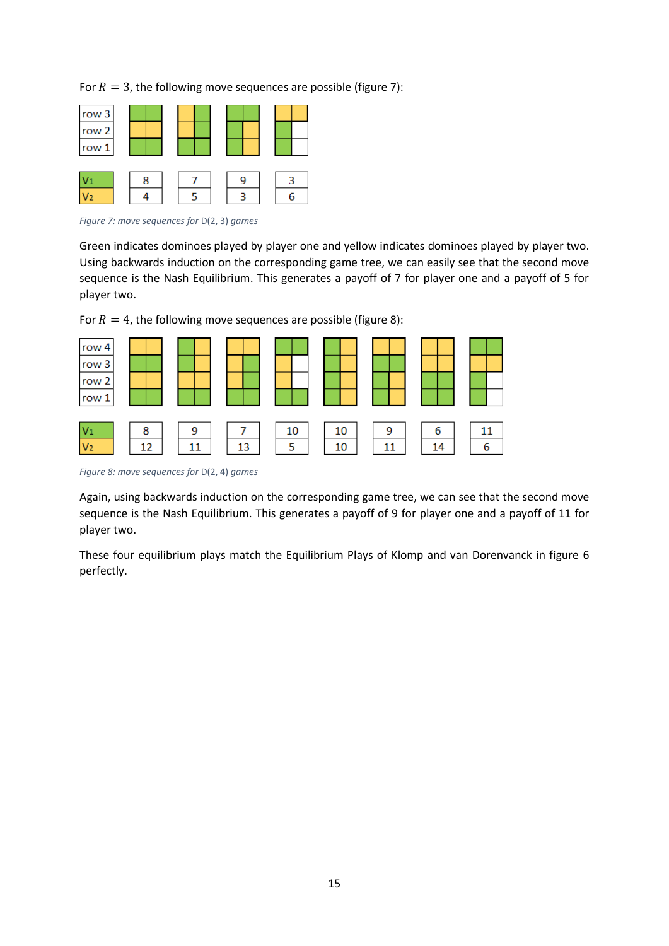For  $R = 3$ , the following move sequences are possible (figure 7):

| row 3<br>row 2<br>row 1 |   |        |   |
|-------------------------|---|--------|---|
| V1<br>V2                | 8 | У<br>₹ | 6 |

*Figure 7: move sequences for* D(2, 3) *games*

Green indicates dominoes played by player one and yellow indicates dominoes played by player two. Using backwards induction on the corresponding game tree, we can easily see that the second move sequence is the Nash Equilibrium. This generates a payoff of 7 for player one and a payoff of 5 for player two.





*Figure 8: move sequences for* D(2, 4) *games*

Again, using backwards induction on the corresponding game tree, we can see that the second move sequence is the Nash Equilibrium. This generates a payoff of 9 for player one and a payoff of 11 for player two.

These four equilibrium plays match the Equilibrium Plays of Klomp and van Dorenvanck in figure 6 perfectly.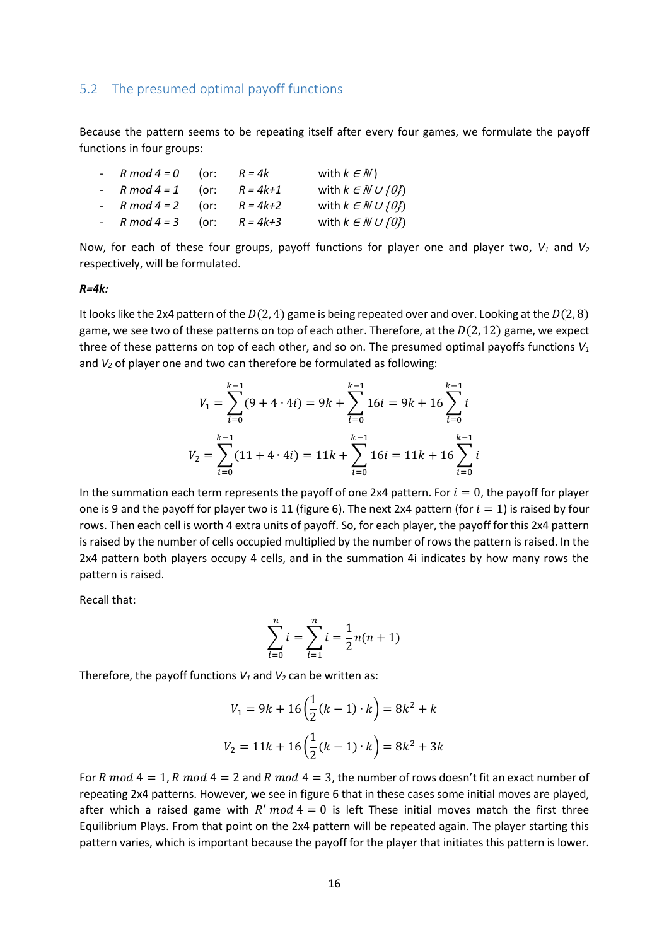#### <span id="page-16-0"></span>5.2 The presumed optimal payoff functions

Because the pattern seems to be repeating itself after every four games, we formulate the payoff functions in four groups:

| - $R \mod 4 = 0$ (or: | $R = 4k$     | with $k \in \mathbb{N}$ )          |
|-----------------------|--------------|------------------------------------|
| - $R \mod 4 = 1$ (or: | $R = 4k + 1$ | with $k \in \mathbb{N} \cup \{0\}$ |
| - $R \mod 4 = 2$ (or: | $R = 4k+2$   | with $k \in \mathbb{N} \cup \{0\}$ |
| - $R \mod 4 = 3$ (or: | $R = 4k + 3$ | with $k \in \mathbb{N} \cup \{0\}$ |

Now, for each of these four groups, payoff functions for player one and player two, *V<sup>1</sup>* and *V<sup>2</sup>* respectively, will be formulated.

#### *R=4k:*

It looks like the 2x4 pattern of the  $D(2, 4)$  game is being repeated over and over. Looking at the  $D(2, 8)$ game, we see two of these patterns on top of each other. Therefore, at the  $D(2, 12)$  game, we expect three of these patterns on top of each other, and so on. The presumed optimal payoffs functions *V<sup>1</sup>* and *V<sup>2</sup>* of player one and two can therefore be formulated as following:

$$
V_1 = \sum_{i=0}^{k-1} (9 + 4 \cdot 4i) = 9k + \sum_{i=0}^{k-1} 16i = 9k + 16 \sum_{i=0}^{k-1} i
$$
  

$$
V_2 = \sum_{i=0}^{k-1} (11 + 4 \cdot 4i) = 11k + \sum_{i=0}^{k-1} 16i = 11k + 16 \sum_{i=0}^{k-1} i
$$

In the summation each term represents the payoff of one 2x4 pattern. For  $i = 0$ , the payoff for player one is 9 and the payoff for player two is 11 (figure 6). The next 2x4 pattern (for  $i = 1$ ) is raised by four rows. Then each cell is worth 4 extra units of payoff. So, for each player, the payoff for this 2x4 pattern is raised by the number of cells occupied multiplied by the number of rows the pattern is raised. In the 2x4 pattern both players occupy 4 cells, and in the summation 4i indicates by how many rows the pattern is raised.

Recall that:

$$
\sum_{i=0}^{n} i = \sum_{i=1}^{n} i = \frac{1}{2} n(n+1)
$$

Therefore, the payoff functions *V<sup>1</sup>* and *V<sup>2</sup>* can be written as:

$$
V_1 = 9k + 16\left(\frac{1}{2}(k-1) \cdot k\right) = 8k^2 + k
$$
  

$$
V_2 = 11k + 16\left(\frac{1}{2}(k-1) \cdot k\right) = 8k^2 + 3k
$$

For R mod  $4 = 1$ , R mod  $4 = 2$  and R mod  $4 = 3$ , the number of rows doesn't fit an exact number of repeating 2x4 patterns. However, we see in figure 6 that in these cases some initial moves are played, after which a raised game with  $R'$  mod  $4 = 0$  is left These initial moves match the first three Equilibrium Plays. From that point on the 2x4 pattern will be repeated again. The player starting this pattern varies, which is important because the payoff for the player that initiates this pattern is lower.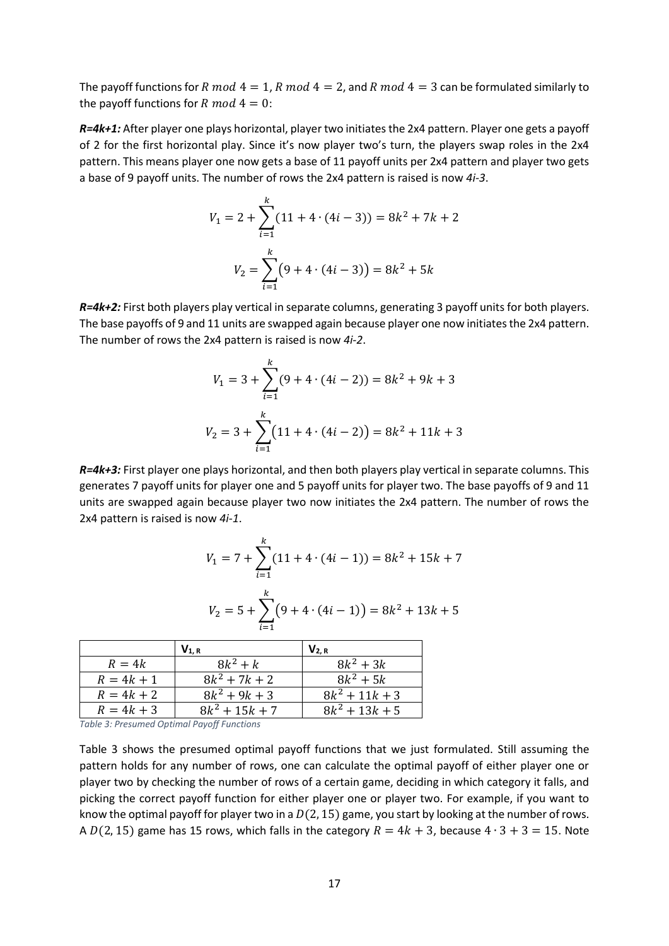The payoff functions for R mod  $4 = 1$ , R mod  $4 = 2$ , and R mod  $4 = 3$  can be formulated similarly to the payoff functions for  $R \text{ mod } 4 = 0$ :

*R=4k+1:* After player one plays horizontal, player two initiates the 2x4 pattern. Player one gets a payoff of 2 for the first horizontal play. Since it's now player two's turn, the players swap roles in the 2x4 pattern. This means player one now gets a base of 11 payoff units per 2x4 pattern and player two gets a base of 9 payoff units. The number of rows the 2x4 pattern is raised is now *4i-3*.

$$
V_1 = 2 + \sum_{i=1}^{k} (11 + 4 \cdot (4i - 3)) = 8k^2 + 7k + 2
$$

$$
V_2 = \sum_{i=1}^{k} (9 + 4 \cdot (4i - 3)) = 8k^2 + 5k
$$

*R=4k+2:* First both players play vertical in separate columns, generating 3 payoff units for both players. The base payoffs of 9 and 11 units are swapped again because player one now initiates the 2x4 pattern. The number of rows the 2x4 pattern is raised is now *4i-2*.

$$
V_1 = 3 + \sum_{i=1}^{k} (9 + 4 \cdot (4i - 2)) = 8k^2 + 9k + 3
$$
  

$$
V_2 = 3 + \sum_{i=1}^{k} (11 + 4 \cdot (4i - 2)) = 8k^2 + 11k + 3
$$

*R=4k+3:* First player one plays horizontal, and then both players play vertical in separate columns. This generates 7 payoff units for player one and 5 payoff units for player two. The base payoffs of 9 and 11 units are swapped again because player two now initiates the 2x4 pattern. The number of rows the 2x4 pattern is raised is now *4i-1*.

$$
V_1 = 7 + \sum_{i=1}^{k} (11 + 4 \cdot (4i - 1)) = 8k^2 + 15k + 7
$$

$$
V_2 = 5 + \sum_{i=1}^{k} (9 + 4 \cdot (4i - 1)) = 8k^2 + 13k + 5
$$

|              | $V_{1, R}$       | $V_{2, R}$       |
|--------------|------------------|------------------|
| $R=4k$       | $8k^2 + k$       | $8k^2 + 3k$      |
| $R = 4k + 1$ | $8k^2 + 7k + 2$  | $8k^2 + 5k$      |
| $R = 4k + 2$ | $8k^2 + 9k + 3$  | $8k^2 + 11k + 3$ |
| $R = 4k + 3$ | $8k^2 + 15k + 7$ | $8k^2 + 13k + 5$ |

*Table 3: Presumed Optimal Payoff Functions*

Table 3 shows the presumed optimal payoff functions that we just formulated. Still assuming the pattern holds for any number of rows, one can calculate the optimal payoff of either player one or player two by checking the number of rows of a certain game, deciding in which category it falls, and picking the correct payoff function for either player one or player two. For example, if you want to know the optimal payoff for player two in a  $D(2, 15)$  game, you start by looking at the number of rows. A  $D(2, 15)$  game has 15 rows, which falls in the category  $R = 4k + 3$ , because  $4 \cdot 3 + 3 = 15$ . Note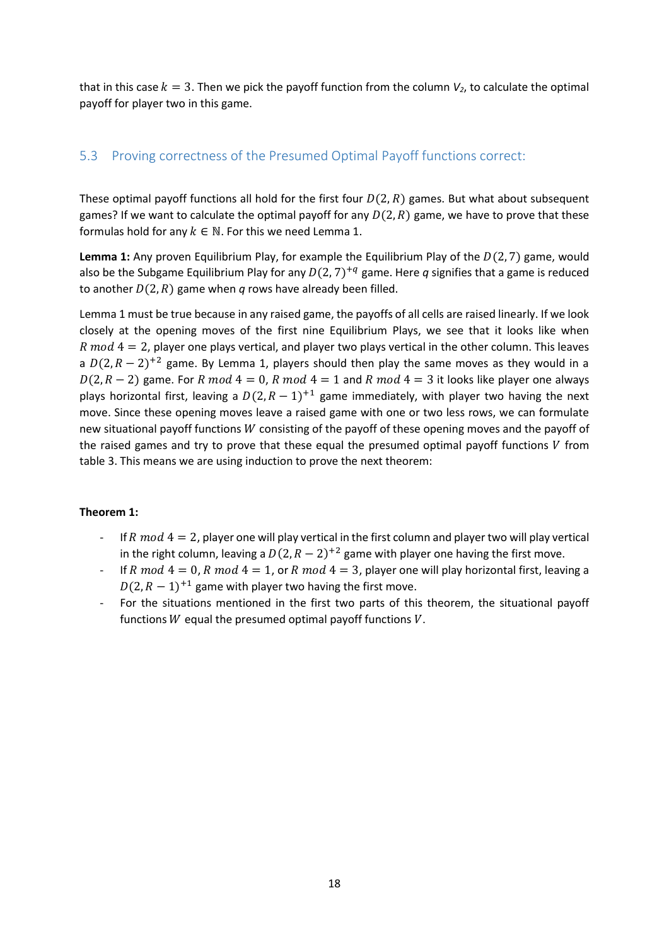that in this case  $k = 3$ . Then we pick the payoff function from the column  $V_2$ , to calculate the optimal payoff for player two in this game.

## <span id="page-18-0"></span>5.3 Proving correctness of the Presumed Optimal Payoff functions correct:

These optimal payoff functions all hold for the first four  $D(2, R)$  games. But what about subsequent games? If we want to calculate the optimal payoff for any  $D(2, R)$  game, we have to prove that these formulas hold for any  $k \in \mathbb{N}$ . For this we need Lemma 1.

**Lemma 1:** Any proven Equilibrium Play, for example the Equilibrium Play of the  $D(2, 7)$  game, would also be the Subgame Equilibrium Play for any  $D(2, 7)^{+q}$  game. Here  $q$  signifies that a game is reduced to another  $D(2, R)$  game when *q* rows have already been filled.

Lemma 1 must be true because in any raised game, the payoffs of all cells are raised linearly. If we look closely at the opening moves of the first nine Equilibrium Plays, we see that it looks like when  $R \text{ mod } 4 = 2$ , player one plays vertical, and player two plays vertical in the other column. This leaves a  $D(2, R - 2)^{+2}$  game. By Lemma 1, players should then play the same moves as they would in a  $D(2, R - 2)$  game. For R mod  $4 = 0$ , R mod  $4 = 1$  and R mod  $4 = 3$  it looks like player one always plays horizontal first, leaving a  $D(2, R - 1)^{+1}$  game immediately, with player two having the next move. Since these opening moves leave a raised game with one or two less rows, we can formulate new situational payoff functions  $W$  consisting of the payoff of these opening moves and the payoff of the raised games and try to prove that these equal the presumed optimal payoff functions  $V$  from table 3. This means we are using induction to prove the next theorem:

#### **Theorem 1:**

- $-$  If R  $mod 4 = 2$ , player one will play vertical in the first column and player two will play vertical in the right column, leaving a  $D(2, R - 2)^{+2}$  game with player one having the first move.
- If R mod  $4 = 0$ , R mod  $4 = 1$ , or R mod  $4 = 3$ , player one will play horizontal first, leaving a  $D(2, R-1)^{+1}$  game with player two having the first move.
- For the situations mentioned in the first two parts of this theorem, the situational payoff functions  $W$  equal the presumed optimal payoff functions  $V$ .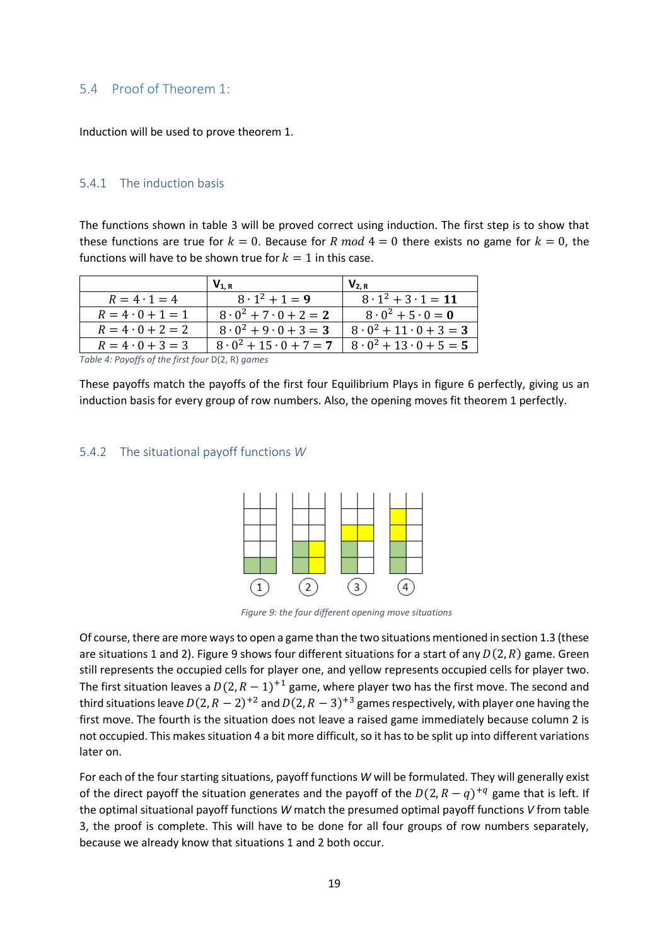### <span id="page-19-0"></span>5.4 Proof of Theorem 1:

Induction will be used to prove theorem 1.

#### <span id="page-19-1"></span>5.4.1 The induction basis

The functions shown in table 3 will be proved correct using induction. The first step is to show that these functions are true for  $k = 0$ . Because for R mod  $4 = 0$  there exists no game for  $k = 0$ , the functions will have to be shown true for  $k = 1$  in this case.

|                         | $V_{1. R}$                         | $V_{2,R}$                          |
|-------------------------|------------------------------------|------------------------------------|
| $R = 4 \cdot 1 = 4$     | $8 \cdot 1^2 + 1 = 9$              | $8 \cdot 1^2 + 3 \cdot 1 = 11$     |
| $R = 4 \cdot 0 + 1 = 1$ | $8 \cdot 0^2 + 7 \cdot 0 + 2 = 2$  | $8 \cdot 0^2 + 5 \cdot 0 = 0$      |
| $R = 4 \cdot 0 + 2 = 2$ | $8 \cdot 0^2 + 9 \cdot 0 + 3 = 3$  | $8 \cdot 0^2 + 11 \cdot 0 + 3 = 3$ |
| $R = 4 \cdot 0 + 3 = 3$ | $8 \cdot 0^2 + 15 \cdot 0 + 7 = 7$ | $8 \cdot 0^2 + 13 \cdot 0 + 5 = 5$ |

*Table 4: Payoffs of the first four* D(2, R) *games*

These payoffs match the payoffs of the first four Equilibrium Plays in figure 6 perfectly, giving us an induction basis for every group of row numbers. Also, the opening moves fit theorem 1 perfectly.

#### <span id="page-19-2"></span>5.4.2 The situational payoff functions *W*



*Figure 9: the four different opening move situations*

Of course, there are more ways to open a game than the two situations mentioned in section 1.3 (these are situations 1 and 2). Figure 9 shows four different situations for a start of any  $D(2, R)$  game. Green still represents the occupied cells for player one, and yellow represents occupied cells for player two. The first situation leaves a  $D(2, R-1)^{+1}$  game, where player two has the first move. The second and third situations leave  $D(2, R-2)^{+2}$  and  $D(2, R-3)^{+3}$  games respectively, with player one having the first move. The fourth is the situation does not leave a raised game immediately because column 2 is not occupied. This makes situation 4 a bit more difficult, so it has to be split up into different variations later on.

For each of the four starting situations, payoff functions *W* will be formulated. They will generally exist of the direct payoff the situation generates and the payoff of the  $D(2, R - q)^{+q}$  game that is left. If the optimal situational payoff functions *W* match the presumed optimal payoff functions *V* from table 3, the proof is complete. This will have to be done for all four groups of row numbers separately, because we already know that situations 1 and 2 both occur.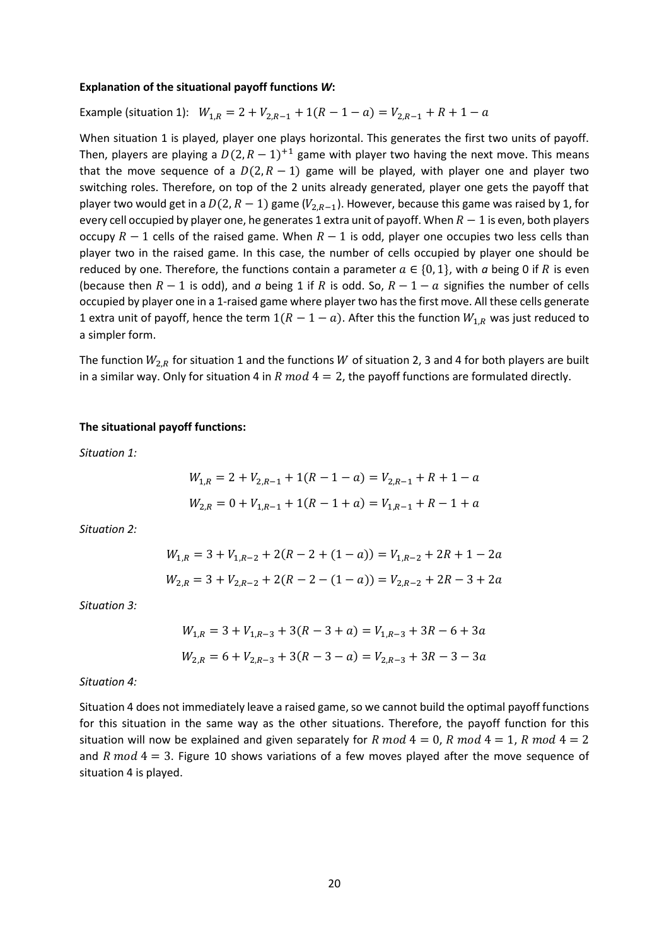#### **Explanation of the situational payoff functions** *W***:**

Example (situation 1):  $W_{1,R} = 2 + V_{2,R-1} + 1(R - 1 - a) = V_{2,R-1} + R + 1 - a$ 

When situation 1 is played, player one plays horizontal. This generates the first two units of payoff. Then, players are playing a  $D(2, R - 1)^{+1}$  game with player two having the next move. This means that the move sequence of a  $D(2, R - 1)$  game will be played, with player one and player two switching roles. Therefore, on top of the 2 units already generated, player one gets the payoff that player two would get in a  $D(2, R-1)$  game ( $V_{2,R-1}$ ). However, because this game was raised by 1, for every cell occupied by player one, he generates 1 extra unit of payoff. When  $R-1$  is even, both players occupy  $R - 1$  cells of the raised game. When  $R - 1$  is odd, player one occupies two less cells than player two in the raised game. In this case, the number of cells occupied by player one should be reduced by one. Therefore, the functions contain a parameter  $a \in \{0, 1\}$ , with *a* being 0 if *R* is even (because then  $R - 1$  is odd), and  $\alpha$  being 1 if  $R$  is odd. So,  $R - 1 - \alpha$  signifies the number of cells occupied by player one in a 1-raised game where player two has the first move. All these cells generate 1 extra unit of payoff, hence the term  $1(R - 1 - a)$ . After this the function  $W_{1,R}$  was just reduced to a simpler form.

The function  $W_{2,R}$  for situation 1 and the functions  $W$  of situation 2, 3 and 4 for both players are built in a similar way. Only for situation 4 in R mod  $4 = 2$ , the payoff functions are formulated directly.

#### **The situational payoff functions:**

*Situation 1:*

$$
W_{1,R} = 2 + V_{2,R-1} + 1(R - 1 - a) = V_{2,R-1} + R + 1 - a
$$
  

$$
W_{2,R} = 0 + V_{1,R-1} + 1(R - 1 + a) = V_{1,R-1} + R - 1 + a
$$

*Situation 2:*

$$
W_{1,R} = 3 + V_{1,R-2} + 2(R - 2 + (1 - a)) = V_{1,R-2} + 2R + 1 - 2a
$$
  

$$
W_{2,R} = 3 + V_{2,R-2} + 2(R - 2 - (1 - a)) = V_{2,R-2} + 2R - 3 + 2a
$$

*Situation 3:*

$$
W_{1,R} = 3 + V_{1,R-3} + 3(R - 3 + a) = V_{1,R-3} + 3R - 6 + 3a
$$
  

$$
W_{2,R} = 6 + V_{2,R-3} + 3(R - 3 - a) = V_{2,R-3} + 3R - 3 - 3a
$$

*Situation 4:*

Situation 4 does not immediately leave a raised game, so we cannot build the optimal payoff functions for this situation in the same way as the other situations. Therefore, the payoff function for this situation will now be explained and given separately for R mod  $4 = 0$ , R mod  $4 = 1$ , R mod  $4 = 2$ and R  $mod\ 4=3$ . Figure 10 shows variations of a few moves played after the move sequence of situation 4 is played.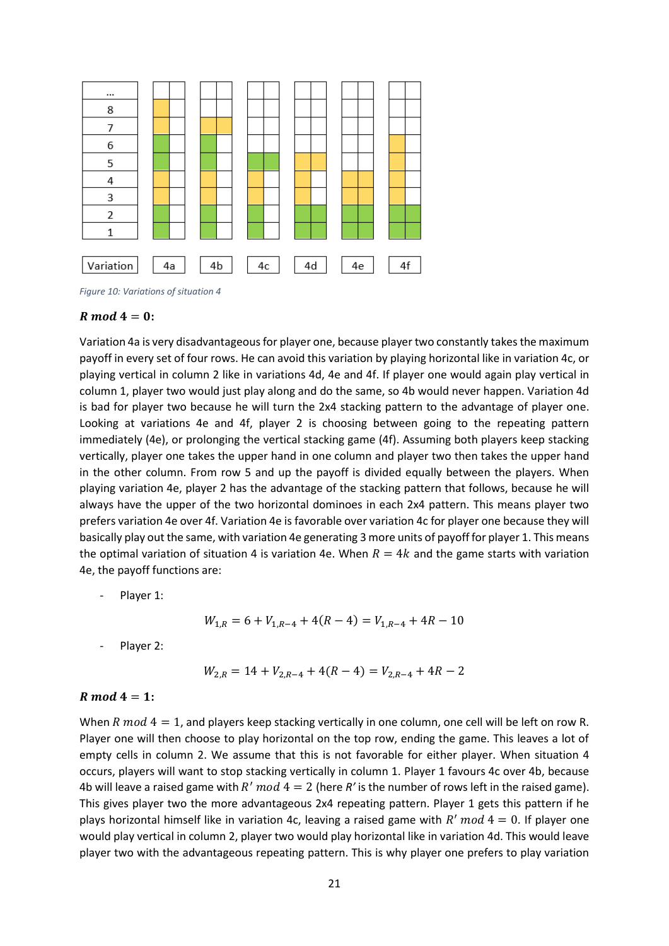

*Figure 10: Variations of situation 4*

#### $R \mod 4 = 0$ :

Variation 4a is very disadvantageous for player one, because player two constantly takes the maximum payoff in every set of four rows. He can avoid this variation by playing horizontal like in variation 4c, or playing vertical in column 2 like in variations 4d, 4e and 4f. If player one would again play vertical in column 1, player two would just play along and do the same, so 4b would never happen. Variation 4d is bad for player two because he will turn the 2x4 stacking pattern to the advantage of player one. Looking at variations 4e and 4f, player 2 is choosing between going to the repeating pattern immediately (4e), or prolonging the vertical stacking game (4f). Assuming both players keep stacking vertically, player one takes the upper hand in one column and player two then takes the upper hand in the other column. From row 5 and up the payoff is divided equally between the players. When playing variation 4e, player 2 has the advantage of the stacking pattern that follows, because he will always have the upper of the two horizontal dominoes in each 2x4 pattern. This means player two prefers variation 4e over 4f. Variation 4e is favorable over variation 4c for player one because they will basically play out the same, with variation 4e generating 3 more units of payoff for player 1. This means the optimal variation of situation 4 is variation 4e. When  $R = 4k$  and the game starts with variation 4e, the payoff functions are:

Player 1:

$$
W_{1,R} = 6 + V_{1,R-4} + 4(R - 4) = V_{1,R-4} + 4R - 10
$$

Player 2:

$$
W_{2,R} = 14 + V_{2,R-4} + 4(R - 4) = V_{2,R-4} + 4R - 2
$$

#### $R \mod 4 = 1$ :

When R  $mod 4 = 1$ , and players keep stacking vertically in one column, one cell will be left on row R. Player one will then choose to play horizontal on the top row, ending the game. This leaves a lot of empty cells in column 2. We assume that this is not favorable for either player. When situation 4 occurs, players will want to stop stacking vertically in column 1. Player 1 favours 4c over 4b, because 4b will leave a raised game with  $R' \mod 4 = 2$  (here  $R'$  is the number of rows left in the raised game). This gives player two the more advantageous 2x4 repeating pattern. Player 1 gets this pattern if he plays horizontal himself like in variation 4c, leaving a raised game with  $R' \mod 4 = 0$ . If player one would play vertical in column 2, player two would play horizontal like in variation 4d. This would leave player two with the advantageous repeating pattern. This is why player one prefers to play variation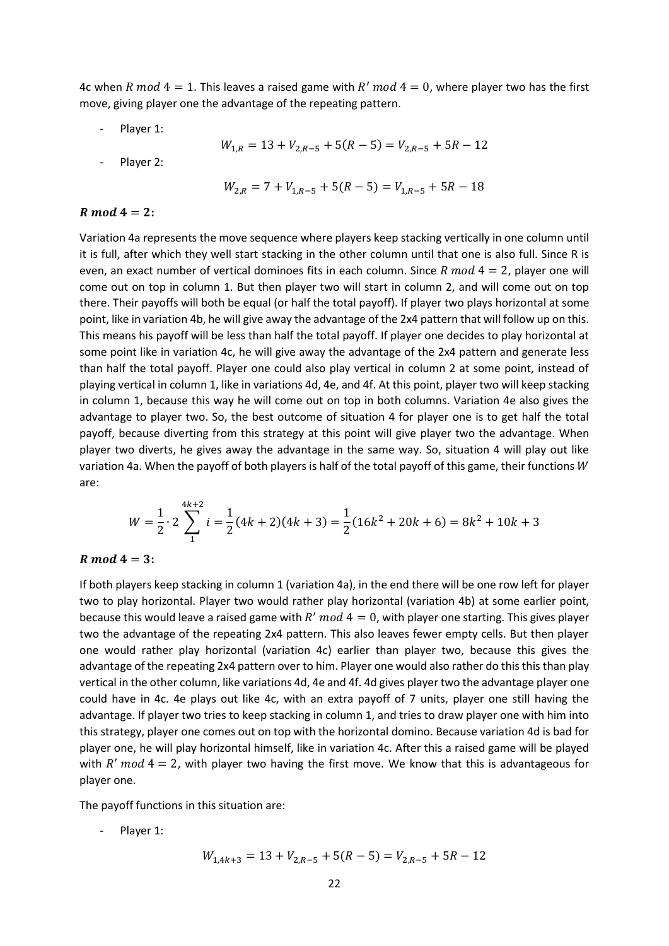4c when R mod  $4 = 1$ . This leaves a raised game with R' mod  $4 = 0$ , where player two has the first move, giving player one the advantage of the repeating pattern.

Player 1:

$$
W_{1,R} = 13 + V_{2,R-5} + 5(R - 5) = V_{2,R-5} + 5R - 12
$$

Player 2:

$$
W_{2,R} = 7 + V_{1,R-5} + 5(R - 5) = V_{1,R-5} + 5R - 18
$$

#### $R \mod 4 = 2$ :

Variation 4a represents the move sequence where players keep stacking vertically in one column until it is full, after which they well start stacking in the other column until that one is also full. Since R is even, an exact number of vertical dominoes fits in each column. Since  $R \text{ mod } 4 = 2$ , player one will come out on top in column 1. But then player two will start in column 2, and will come out on top there. Their payoffs will both be equal (or half the total payoff). If player two plays horizontal at some point, like in variation 4b, he will give away the advantage of the 2x4 pattern that will follow up on this. This means his payoff will be less than half the total payoff. If player one decides to play horizontal at some point like in variation 4c, he will give away the advantage of the 2x4 pattern and generate less than half the total payoff. Player one could also play vertical in column 2 at some point, instead of playing vertical in column 1, like in variations 4d, 4e, and 4f. At this point, player two will keep stacking in column 1, because this way he will come out on top in both columns. Variation 4e also gives the advantage to player two. So, the best outcome of situation 4 for player one is to get half the total payoff, because diverting from this strategy at this point will give player two the advantage. When player two diverts, he gives away the advantage in the same way. So, situation 4 will play out like variation 4a. When the payoff of both players is half of the total payoff of this game, their functions  $W$ are:

$$
W = \frac{1}{2} \cdot 2 \sum_{1}^{4k+2} i = \frac{1}{2} (4k+2)(4k+3) = \frac{1}{2} (16k^2 + 20k + 6) = 8k^2 + 10k + 3
$$

#### $R \mod 4 = 3$ :

If both players keep stacking in column 1 (variation 4a), in the end there will be one row left for player two to play horizontal. Player two would rather play horizontal (variation 4b) at some earlier point, because this would leave a raised game with  $R' \mod 4 = 0$ , with player one starting. This gives player two the advantage of the repeating 2x4 pattern. This also leaves fewer empty cells. But then player one would rather play horizontal (variation 4c) earlier than player two, because this gives the advantage of the repeating 2x4 pattern over to him. Player one would also rather do this this than play vertical in the other column, like variations 4d, 4e and 4f. 4d gives player two the advantage player one could have in 4c. 4e plays out like 4c, with an extra payoff of 7 units, player one still having the advantage. If player two tries to keep stacking in column 1, and tries to draw player one with him into this strategy, player one comes out on top with the horizontal domino. Because variation 4d is bad for player one, he will play horizontal himself, like in variation 4c. After this a raised game will be played with  $R' \mod 4 = 2$ , with player two having the first move. We know that this is advantageous for player one.

The payoff functions in this situation are:

Player 1:

$$
W_{1,4k+3} = 13 + V_{2,R-5} + 5(R - 5) = V_{2,R-5} + 5R - 12
$$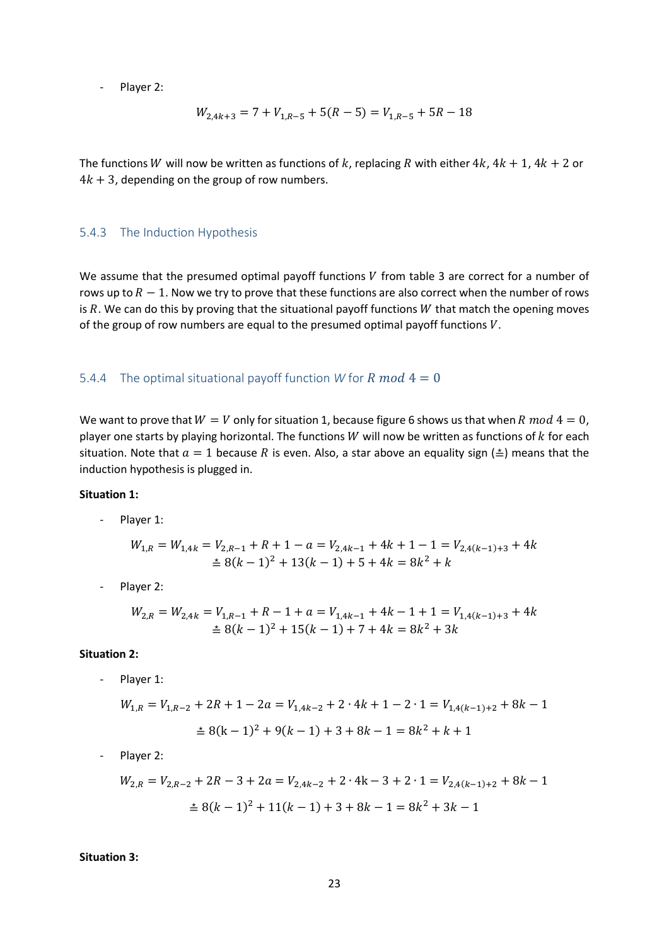- Player 2:

$$
W_{2,4k+3} = 7 + V_{1,R-5} + 5(R - 5) = V_{1,R-5} + 5R - 18
$$

The functions W will now be written as functions of k, replacing R with either  $4k$ ,  $4k + 1$ ,  $4k + 2$  or  $4k + 3$ , depending on the group of row numbers.

#### <span id="page-23-0"></span>5.4.3 The Induction Hypothesis

We assume that the presumed optimal payoff functions  $V$  from table 3 are correct for a number of rows up to  $R-1$ . Now we try to prove that these functions are also correct when the number of rows is  $R$ . We can do this by proving that the situational payoff functions  $W$  that match the opening moves of the group of row numbers are equal to the presumed optimal payoff functions  $V$ .

#### <span id="page-23-1"></span>5.4.4 The optimal situational payoff function *W* for *R* mod  $4 = 0$

We want to prove that  $W = V$  only for situation 1, because figure 6 shows us that when R mod  $4 = 0$ , player one starts by playing horizontal. The functions  $W$  will now be written as functions of  $k$  for each situation. Note that  $a = 1$  because R is even. Also, a star above an equality sign ( $\triangleq$ ) means that the induction hypothesis is plugged in.

#### **Situation 1:**

- Player 1:

$$
W_{1,R} = W_{1,4k} = V_{2,R-1} + R + 1 - a = V_{2,4k-1} + 4k + 1 - 1 = V_{2,4(k-1)+3} + 4k
$$
  

$$
\stackrel{\geq}{=} 8(k-1)^2 + 13(k-1) + 5 + 4k = 8k^2 + k
$$

- Player 2:

$$
W_{2,R} = W_{2,4k} = V_{1,R-1} + R - 1 + a = V_{1,4k-1} + 4k - 1 + 1 = V_{1,4(k-1)+3} + 4k
$$
  
\$\stackrel{\geq}{=} 8(k-1)^2 + 15(k-1) + 7 + 4k = 8k^2 + 3k

#### **Situation 2:**

Player 1:

$$
W_{1,R} = V_{1,R-2} + 2R + 1 - 2a = V_{1,4k-2} + 2 \cdot 4k + 1 - 2 \cdot 1 = V_{1,4(k-1)+2} + 8k - 1
$$
  

$$
\stackrel{\geq}{=} 8(k-1)^2 + 9(k-1) + 3 + 8k - 1 = 8k^2 + k + 1
$$

Player 2:

$$
W_{2,R} = V_{2,R-2} + 2R - 3 + 2a = V_{2,4k-2} + 2 \cdot 4k - 3 + 2 \cdot 1 = V_{2,4(k-1)+2} + 8k - 1
$$
  

$$
\stackrel{\geq}{=} 8(k-1)^2 + 11(k-1) + 3 + 8k - 1 = 8k^2 + 3k - 1
$$

#### **Situation 3:**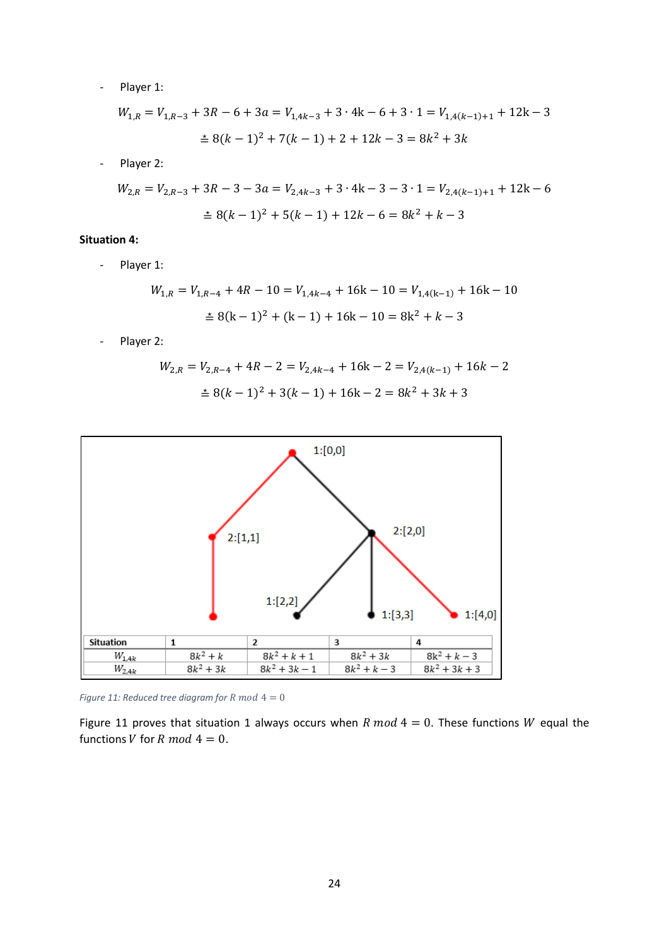- Player 1:

$$
W_{1,R} = V_{1,R-3} + 3R - 6 + 3a = V_{1,4k-3} + 3 \cdot 4k - 6 + 3 \cdot 1 = V_{1,4(k-1)+1} + 12k - 3
$$
  

$$
\stackrel{\ge}{=} 8(k-1)^2 + 7(k-1) + 2 + 12k - 3 = 8k^2 + 3k
$$

- Player 2:

$$
W_{2,R} = V_{2,R-3} + 3R - 3 - 3a = V_{2,4k-3} + 3 \cdot 4k - 3 - 3 \cdot 1 = V_{2,4(k-1)+1} + 12k - 6
$$
  

$$
\stackrel{\pm}{=} 8(k-1)^2 + 5(k-1) + 12k - 6 = 8k^2 + k - 3
$$

#### **Situation 4:**

- Player 1:

$$
W_{1,R} = V_{1,R-4} + 4R - 10 = V_{1,4k-4} + 16k - 10 = V_{1,4(k-1)} + 16k - 10
$$
  

$$
\stackrel{\ast}{=} 8(k-1)^2 + (k-1) + 16k - 10 = 8k^2 + k - 3
$$

- Player 2:

$$
W_{2,R} = V_{2,R-4} + 4R - 2 = V_{2,4k-4} + 16k - 2 = V_{2,4(k-1)} + 16k - 2
$$
  

$$
\pm 8(k-1)^2 + 3(k-1) + 16k - 2 = 8k^2 + 3k + 3
$$



*Figure 11: Reduced tree diagram for R mod*  $4 = 0$ 

Figure 11 proves that situation 1 always occurs when R mod  $4 = 0$ . These functions W equal the functions V for R mod  $4 = 0$ .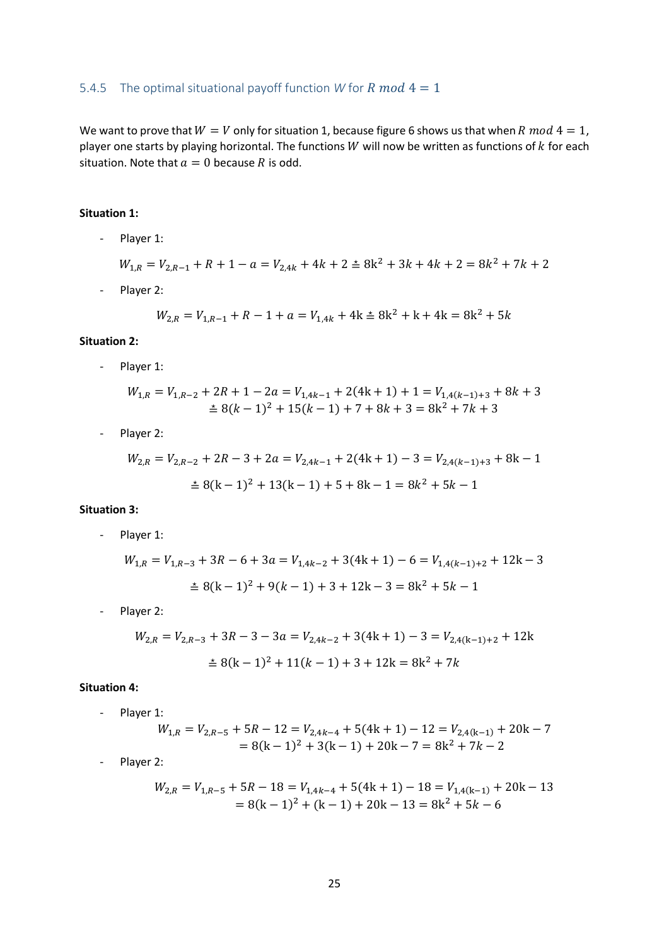#### <span id="page-25-0"></span>5.4.5 The optimal situational payoff function *W* for *R* mod  $4 = 1$

We want to prove that  $W = V$  only for situation 1, because figure 6 shows us that when R mod  $4 = 1$ , player one starts by playing horizontal. The functions  $W$  will now be written as functions of  $k$  for each situation. Note that  $a = 0$  because R is odd.

#### **Situation 1:**

- Player 1:

$$
W_{1,R} = V_{2,R-1} + R + 1 - a = V_{2,4k} + 4k + 2 \stackrel{\ast}{=} 8k^2 + 3k + 4k + 2 = 8k^2 + 7k + 2
$$

- Player 2:

$$
W_{2,R} = V_{1,R-1} + R - 1 + a = V_{1,4k} + 4k \pm 8k^2 + k + 4k = 8k^2 + 5k
$$

#### **Situation 2:**

- Player 1:

$$
W_{1,R} = V_{1,R-2} + 2R + 1 - 2a = V_{1,4k-1} + 2(4k + 1) + 1 = V_{1,4(k-1)+3} + 8k + 3
$$
  

$$
\stackrel{\geq}{=} 8(k-1)^2 + 15(k-1) + 7 + 8k + 3 = 8k^2 + 7k + 3
$$

- Player 2:

$$
W_{2,R} = V_{2,R-2} + 2R - 3 + 2a = V_{2,4k-1} + 2(4k + 1) - 3 = V_{2,4(k-1)+3} + 8k - 1
$$
  

$$
\stackrel{\geq}{=} 8(k-1)^2 + 13(k-1) + 5 + 8k - 1 = 8k^2 + 5k - 1
$$

#### **Situation 3:**

- Player 1:

$$
W_{1,R} = V_{1,R-3} + 3R - 6 + 3a = V_{1,4k-2} + 3(4k + 1) - 6 = V_{1,4(k-1)+2} + 12k - 3
$$
  

$$
\stackrel{\ge}{=} 8(k-1)^2 + 9(k-1) + 3 + 12k - 3 = 8k^2 + 5k - 1
$$

- Player 2:

$$
W_{2,R} = V_{2,R-3} + 3R - 3 - 3a = V_{2,4k-2} + 3(4k + 1) - 3 = V_{2,4(k-1)+2} + 12k
$$
  

$$
\stackrel{\ge}{=} 8(k-1)^2 + 11(k-1) + 3 + 12k = 8k^2 + 7k
$$

#### **Situation 4:**

- Player 1:

$$
W_{1,R} = V_{2,R-5} + 5R - 12 = V_{2,4k-4} + 5(4k + 1) - 12 = V_{2,4(k-1)} + 20k - 7
$$
  
= 8(k - 1)<sup>2</sup> + 3(k - 1) + 20k - 7 = 8k<sup>2</sup> + 7k - 2

- Player 2:

$$
W_{2,R} = V_{1,R-5} + 5R - 18 = V_{1,4k-4} + 5(4k+1) - 18 = V_{1,4(k-1)} + 20k - 13
$$
  
= 8(k-1)<sup>2</sup> + (k-1) + 20k - 13 = 8k<sup>2</sup> + 5k - 6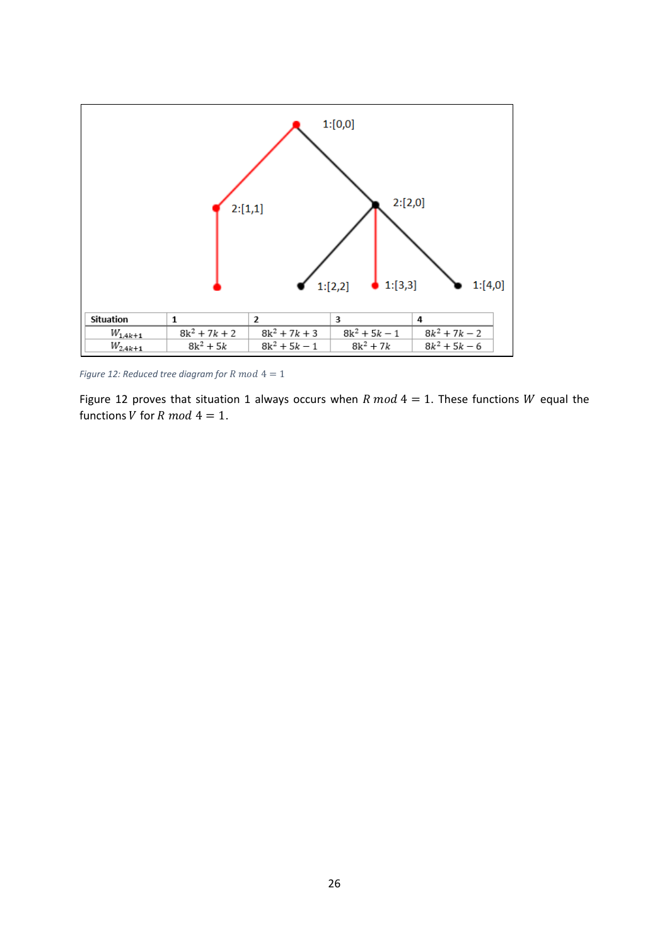

*Figure 12: Reduced tree diagram for R mod*  $4 = 1$ 

Figure 12 proves that situation 1 always occurs when R mod  $4 = 1$ . These functions W equal the functions V for R mod  $4 = 1$ .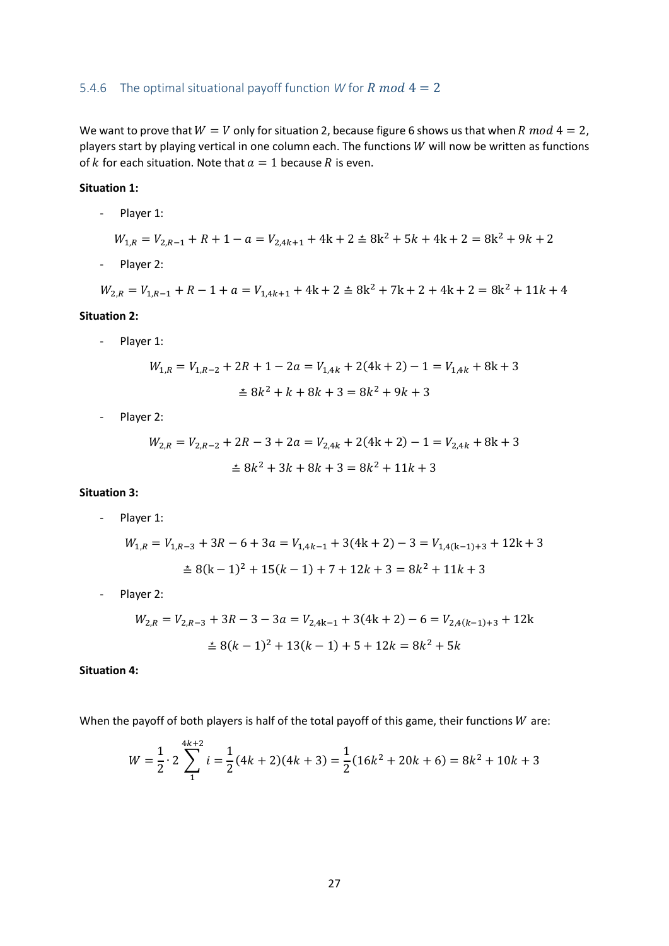#### <span id="page-27-0"></span>5.4.6 The optimal situational payoff function *W* for *R* mod  $4 = 2$

We want to prove that  $W = V$  only for situation 2, because figure 6 shows us that when R mod  $4 = 2$ , players start by playing vertical in one column each. The functions  $W$  will now be written as functions of k for each situation. Note that  $a = 1$  because R is even.

#### **Situation 1:**

- Player 1:

$$
W_{1,R} = V_{2,R-1} + R + 1 - a = V_{2,4k+1} + 4k + 2 \stackrel{+}{=} 8k^2 + 5k + 4k + 2 = 8k^2 + 9k + 2
$$

- Player 2:

 $W_{2,R} = V_{1,R-1} + R - 1 + a = V_{1,4k+1} + 4k + 2 \ge 8k^2 + 7k + 2 + 4k + 2 = 8k^2 + 11k + 4$ 

#### **Situation 2:**

- Player 1:

$$
W_{1,R} = V_{1,R-2} + 2R + 1 - 2a = V_{1,4k} + 2(4k + 2) - 1 = V_{1,4k} + 8k + 3
$$
  

$$
\stackrel{\geq}{=} 8k^2 + k + 8k + 3 = 8k^2 + 9k + 3
$$

- Player 2:

$$
W_{2,R} = V_{2,R-2} + 2R - 3 + 2a = V_{2,4k} + 2(4k + 2) - 1 = V_{2,4k} + 8k + 3
$$
  

$$
\leq 8k^2 + 3k + 8k + 3 = 8k^2 + 11k + 3
$$

#### **Situation 3:**

- Player 1:

$$
W_{1,R} = V_{1,R-3} + 3R - 6 + 3a = V_{1,4k-1} + 3(4k + 2) - 3 = V_{1,4(k-1)+3} + 12k + 3
$$
  

$$
\stackrel{\ge}{=} 8(k-1)^2 + 15(k-1) + 7 + 12k + 3 = 8k^2 + 11k + 3
$$

- Player 2:

$$
W_{2,R} = V_{2,R-3} + 3R - 3 - 3a = V_{2,4k-1} + 3(4k + 2) - 6 = V_{2,4(k-1)+3} + 12k
$$
  

$$
\stackrel{\geq}{=} 8(k-1)^2 + 13(k-1) + 5 + 12k = 8k^2 + 5k
$$

#### **Situation 4:**

When the payoff of both players is half of the total payoff of this game, their functions  $W$  are:

$$
W = \frac{1}{2} \cdot 2 \sum_{1}^{4k+2} i = \frac{1}{2} (4k+2)(4k+3) = \frac{1}{2} (16k^2 + 20k + 6) = 8k^2 + 10k + 3
$$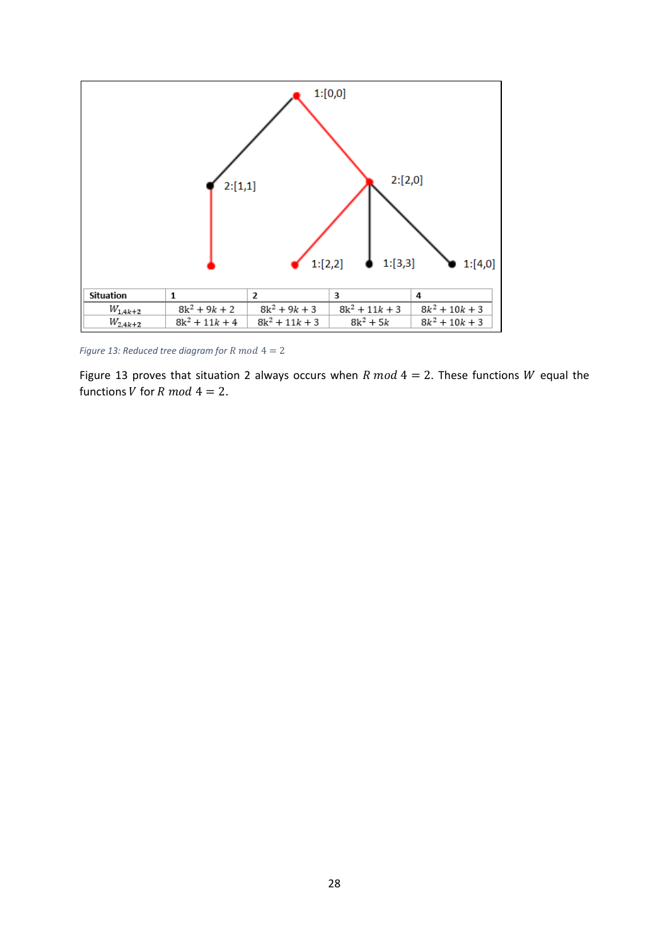

*Figure 13: Reduced tree diagram for R mod*  $4 = 2$ 

Figure 13 proves that situation 2 always occurs when R  $mod\ 4=2$ . These functions W equal the functions *V* for *R* mod  $4 = 2$ .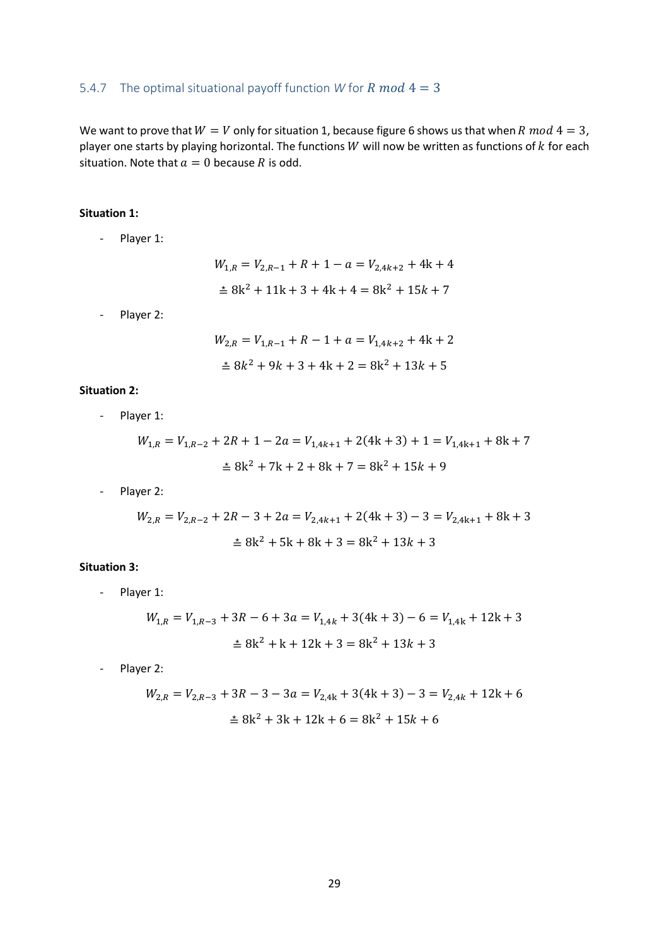#### <span id="page-29-0"></span>5.4.7 The optimal situational payoff function *W* for *R* mod  $4 = 3$

We want to prove that  $W = V$  only for situation 1, because figure 6 shows us that when R mod  $4 = 3$ , player one starts by playing horizontal. The functions  $W$  will now be written as functions of  $k$  for each situation. Note that  $a = 0$  because R is odd.

#### **Situation 1:**

- Player 1:

$$
W_{1,R} = V_{2,R-1} + R + 1 - a = V_{2,4k+2} + 4k + 4
$$
  

$$
\stackrel{\ast}{=} 8k^2 + 11k + 3 + 4k + 4 = 8k^2 + 15k + 7
$$

- Player 2:

$$
W_{2,R} = V_{1,R-1} + R - 1 + a = V_{1,4k+2} + 4k + 2
$$
  

$$
\stackrel{\ast}{=} 8k^2 + 9k + 3 + 4k + 2 = 8k^2 + 13k + 5
$$

#### **Situation 2:**

- Player 1:

$$
W_{1,R} = V_{1,R-2} + 2R + 1 - 2a = V_{1,4k+1} + 2(4k+3) + 1 = V_{1,4k+1} + 8k + 7
$$
  

$$
\pm 8k^2 + 7k + 2 + 8k + 7 = 8k^2 + 15k + 9
$$

- Player 2:

$$
W_{2,R} = V_{2,R-2} + 2R - 3 + 2a = V_{2,4k+1} + 2(4k+3) - 3 = V_{2,4k+1} + 8k + 3
$$
  

$$
\stackrel{\ge}{=} 8k^2 + 5k + 8k + 3 = 8k^2 + 13k + 3
$$

#### **Situation 3:**

- Player 1:

$$
W_{1,R} = V_{1,R-3} + 3R - 6 + 3a = V_{1,4k} + 3(4k + 3) - 6 = V_{1,4k} + 12k + 3
$$
  

$$
\pm 8k^2 + k + 12k + 3 = 8k^2 + 13k + 3
$$

- Player 2:

$$
W_{2,R} = V_{2,R-3} + 3R - 3 - 3a = V_{2,4k} + 3(4k + 3) - 3 = V_{2,4k} + 12k + 6
$$
  

$$
\stackrel{\ge}{=} 8k^2 + 3k + 12k + 6 = 8k^2 + 15k + 6
$$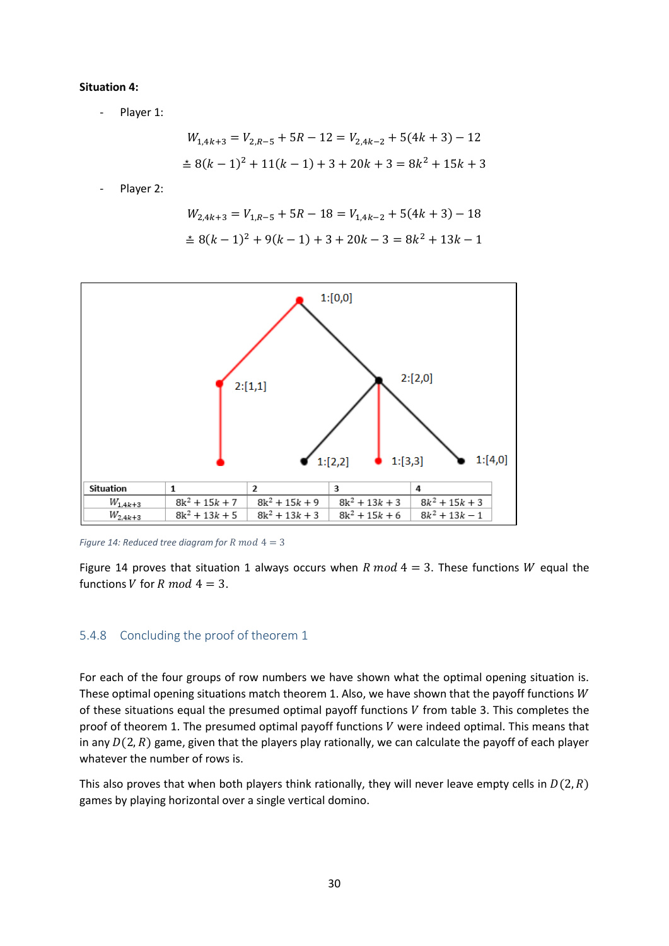#### **Situation 4:**

- Player 1:

$$
W_{1,4k+3} = V_{2,R-5} + 5R - 12 = V_{2,4k-2} + 5(4k+3) - 12
$$
  

$$
\stackrel{\ge}{=} 8(k-1)^2 + 11(k-1) + 3 + 20k + 3 = 8k^2 + 15k + 3
$$

Player 2:

$$
W_{2,4k+3} = V_{1,R-5} + 5R - 18 = V_{1,4k-2} + 5(4k+3) - 18
$$
  

$$
\stackrel{\ge}{=} 8(k-1)^2 + 9(k-1) + 3 + 20k - 3 = 8k^2 + 13k - 1
$$



*Figure 14: Reduced tree diagram for R mod*  $4 = 3$ 

Figure 14 proves that situation 1 always occurs when R mod  $4 = 3$ . These functions W equal the functions V for R mod  $4 = 3$ .

#### <span id="page-30-0"></span>5.4.8 Concluding the proof of theorem 1

For each of the four groups of row numbers we have shown what the optimal opening situation is. These optimal opening situations match theorem 1. Also, we have shown that the payoff functions  $W$ of these situations equal the presumed optimal payoff functions  $V$  from table 3. This completes the proof of theorem 1. The presumed optimal payoff functions  $V$  were indeed optimal. This means that in any  $D(2, R)$  game, given that the players play rationally, we can calculate the payoff of each player whatever the number of rows is.

This also proves that when both players think rationally, they will never leave empty cells in  $D(2, R)$ games by playing horizontal over a single vertical domino.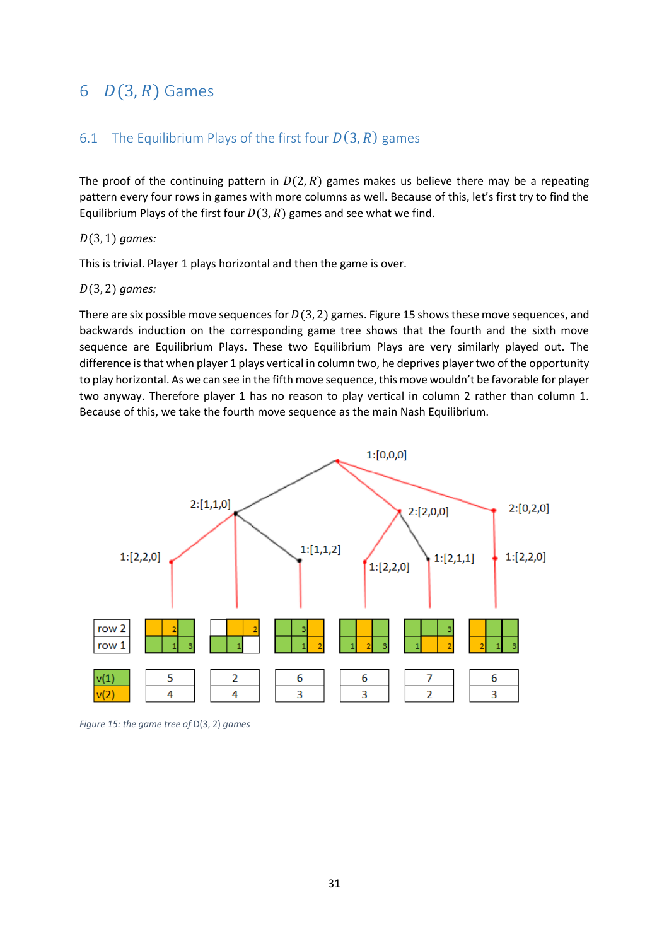## <span id="page-31-0"></span>6  $D(3, R)$  Games

## <span id="page-31-1"></span>6.1 The Equilibrium Plays of the first four  $D(3, R)$  games

The proof of the continuing pattern in  $D(2, R)$  games makes us believe there may be a repeating pattern every four rows in games with more columns as well. Because of this, let's first try to find the Equilibrium Plays of the first four  $D(3,R)$  games and see what we find.

(3, 1) *games:*

This is trivial. Player 1 plays horizontal and then the game is over.

#### (3, 2) *games:*

There are six possible move sequences for  $D(3, 2)$  games. Figure 15 shows these move sequences, and backwards induction on the corresponding game tree shows that the fourth and the sixth move sequence are Equilibrium Plays. These two Equilibrium Plays are very similarly played out. The difference is that when player 1 plays vertical in column two, he deprives player two of the opportunity to play horizontal. As we can see in the fifth move sequence, this move wouldn't be favorable for player two anyway. Therefore player 1 has no reason to play vertical in column 2 rather than column 1. Because of this, we take the fourth move sequence as the main Nash Equilibrium.



*Figure 15: the game tree of* D(3, 2) *games*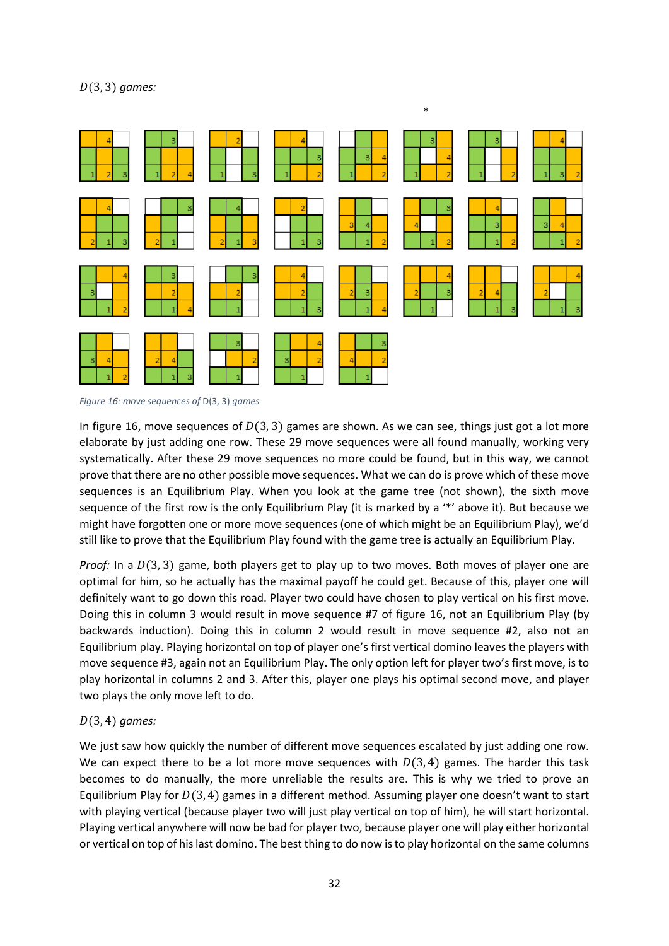

*Figure 16: move sequences of* D(3, 3) *games*

In figure 16, move sequences of  $D(3, 3)$  games are shown. As we can see, things just got a lot more elaborate by just adding one row. These 29 move sequences were all found manually, working very systematically. After these 29 move sequences no more could be found, but in this way, we cannot prove that there are no other possible move sequences. What we can do is prove which of these move sequences is an Equilibrium Play. When you look at the game tree (not shown), the sixth move sequence of the first row is the only Equilibrium Play (it is marked by a '\*' above it). But because we might have forgotten one or more move sequences (one of which might be an Equilibrium Play), we'd still like to prove that the Equilibrium Play found with the game tree is actually an Equilibrium Play.

*Proof:* In a  $D(3, 3)$  game, both players get to play up to two moves. Both moves of player one are optimal for him, so he actually has the maximal payoff he could get. Because of this, player one will definitely want to go down this road. Player two could have chosen to play vertical on his first move. Doing this in column 3 would result in move sequence #7 of figure 16, not an Equilibrium Play (by backwards induction). Doing this in column 2 would result in move sequence #2, also not an Equilibrium play. Playing horizontal on top of player one's first vertical domino leaves the players with move sequence #3, again not an Equilibrium Play. The only option left for player two's first move, is to play horizontal in columns 2 and 3. After this, player one plays his optimal second move, and player two plays the only move left to do.

#### (3, 4) *games:*

We just saw how quickly the number of different move sequences escalated by just adding one row. We can expect there to be a lot more move sequences with  $D(3, 4)$  games. The harder this task becomes to do manually, the more unreliable the results are. This is why we tried to prove an Equilibrium Play for  $D(3, 4)$  games in a different method. Assuming player one doesn't want to start with playing vertical (because player two will just play vertical on top of him), he will start horizontal. Playing vertical anywhere will now be bad for player two, because player one will play either horizontal or vertical on top of his last domino. The best thing to do now is to play horizontal on the same columns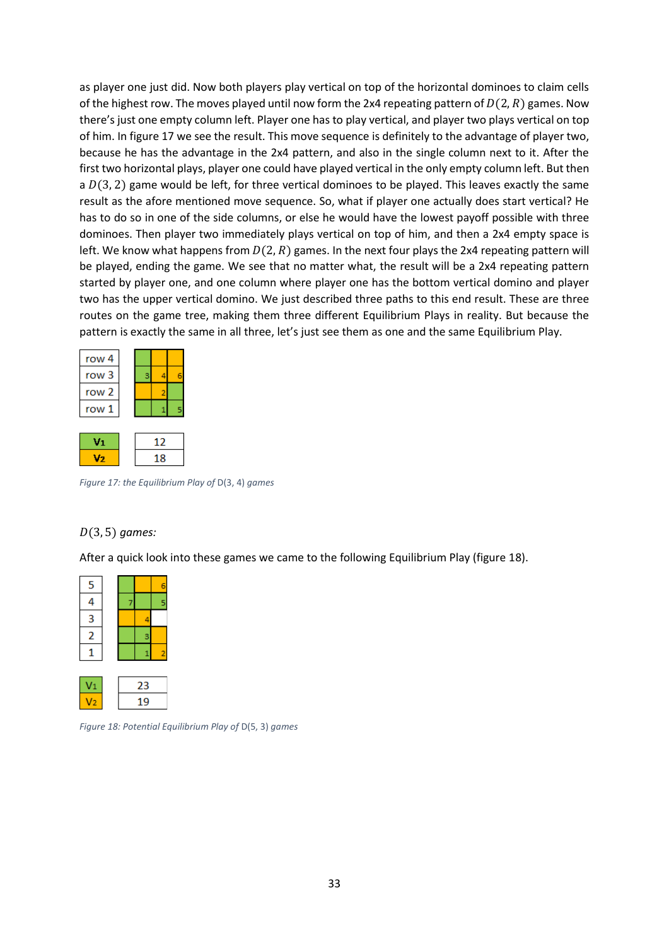as player one just did. Now both players play vertical on top of the horizontal dominoes to claim cells of the highest row. The moves played until now form the 2x4 repeating pattern of  $D(2, R)$  games. Now there's just one empty column left. Player one has to play vertical, and player two plays vertical on top of him. In figure 17 we see the result. This move sequence is definitely to the advantage of player two, because he has the advantage in the 2x4 pattern, and also in the single column next to it. After the first two horizontal plays, player one could have played vertical in the only empty column left. But then a  $D(3, 2)$  game would be left, for three vertical dominoes to be played. This leaves exactly the same result as the afore mentioned move sequence. So, what if player one actually does start vertical? He has to do so in one of the side columns, or else he would have the lowest payoff possible with three dominoes. Then player two immediately plays vertical on top of him, and then a 2x4 empty space is left. We know what happens from  $D(2, R)$  games. In the next four plays the 2x4 repeating pattern will be played, ending the game. We see that no matter what, the result will be a 2x4 repeating pattern started by player one, and one column where player one has the bottom vertical domino and player two has the upper vertical domino. We just described three paths to this end result. These are three routes on the game tree, making them three different Equilibrium Plays in reality. But because the pattern is exactly the same in all three, let's just see them as one and the same Equilibrium Play.

| row 4 |  |    |  |
|-------|--|----|--|
| row 3 |  |    |  |
| row 2 |  |    |  |
| row 1 |  |    |  |
|       |  |    |  |
|       |  | 12 |  |

*Figure 17: the Equilibrium Play of* D(3, 4) *games*

18

#### (3, 5) *games:*

 $V<sub>2</sub>$ 

After a quick look into these games we came to the following Equilibrium Play (figure 18).

| 5 |  |   |
|---|--|---|
|   |  | 5 |
| 3 |  |   |
| 2 |  |   |
|   |  |   |
|   |  |   |

23 19

*Figure 18: Potential Equilibrium Play of* D(5, 3) *games*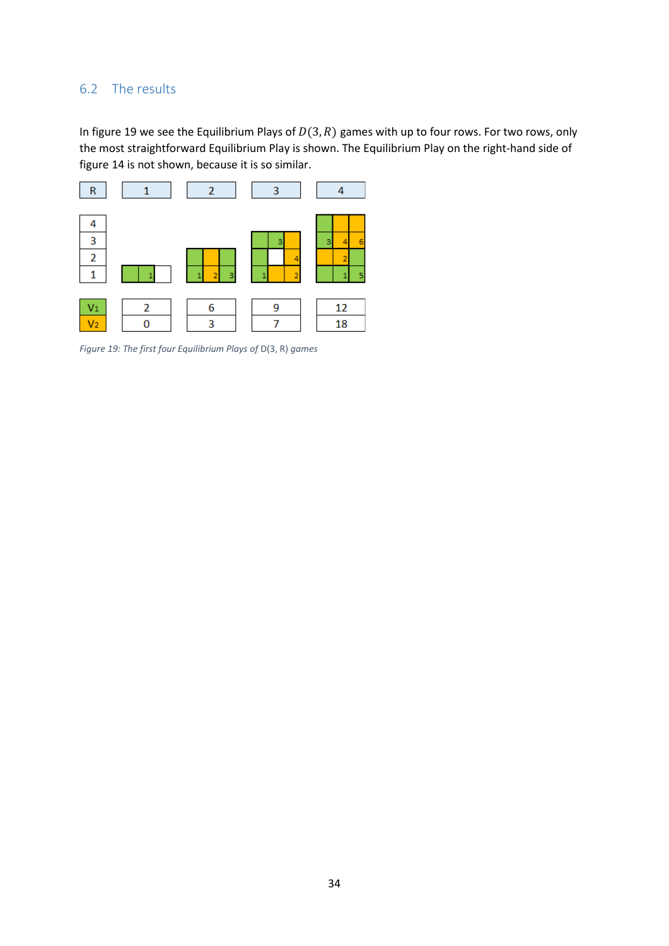## <span id="page-34-0"></span>6.2 The results

In figure 19 we see the Equilibrium Plays of  $D(3, R)$  games with up to four rows. For two rows, only the most straightforward Equilibrium Play is shown. The Equilibrium Play on the right-hand side of figure 14 is not shown, because it is so similar.



*Figure 19: The first four Equilibrium Plays of* D(3, R) *games*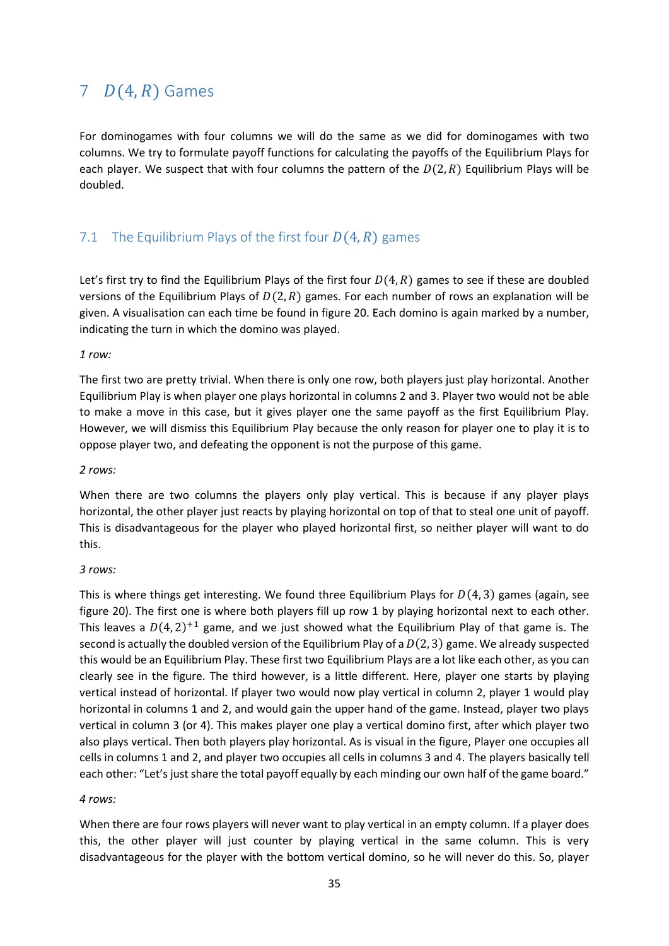## <span id="page-35-0"></span>7  $D(4, R)$  Games

For dominogames with four columns we will do the same as we did for dominogames with two columns. We try to formulate payoff functions for calculating the payoffs of the Equilibrium Plays for each player. We suspect that with four columns the pattern of the  $D(2, R)$  Equilibrium Plays will be doubled.

## <span id="page-35-1"></span>7.1 The Equilibrium Plays of the first four  $D(4, R)$  games

Let's first try to find the Equilibrium Plays of the first four  $D(4, R)$  games to see if these are doubled versions of the Equilibrium Plays of  $D(2, R)$  games. For each number of rows an explanation will be given. A visualisation can each time be found in figure 20. Each domino is again marked by a number, indicating the turn in which the domino was played.

#### *1 row:*

The first two are pretty trivial. When there is only one row, both players just play horizontal. Another Equilibrium Play is when player one plays horizontal in columns 2 and 3. Player two would not be able to make a move in this case, but it gives player one the same payoff as the first Equilibrium Play. However, we will dismiss this Equilibrium Play because the only reason for player one to play it is to oppose player two, and defeating the opponent is not the purpose of this game.

#### *2 rows:*

When there are two columns the players only play vertical. This is because if any player plays horizontal, the other player just reacts by playing horizontal on top of that to steal one unit of payoff. This is disadvantageous for the player who played horizontal first, so neither player will want to do this.

#### *3 rows:*

This is where things get interesting. We found three Equilibrium Plays for  $D(4, 3)$  games (again, see figure 20). The first one is where both players fill up row 1 by playing horizontal next to each other. This leaves a  $D(4, 2)^{+1}$  game, and we just showed what the Equilibrium Play of that game is. The second is actually the doubled version of the Equilibrium Play of a  $D(2, 3)$  game. We already suspected this would be an Equilibrium Play. These first two Equilibrium Plays are a lot like each other, as you can clearly see in the figure. The third however, is a little different. Here, player one starts by playing vertical instead of horizontal. If player two would now play vertical in column 2, player 1 would play horizontal in columns 1 and 2, and would gain the upper hand of the game. Instead, player two plays vertical in column 3 (or 4). This makes player one play a vertical domino first, after which player two also plays vertical. Then both players play horizontal. As is visual in the figure, Player one occupies all cells in columns 1 and 2, and player two occupies all cells in columns 3 and 4. The players basically tell each other: "Let's just share the total payoff equally by each minding our own half of the game board."

#### *4 rows:*

When there are four rows players will never want to play vertical in an empty column. If a player does this, the other player will just counter by playing vertical in the same column. This is very disadvantageous for the player with the bottom vertical domino, so he will never do this. So, player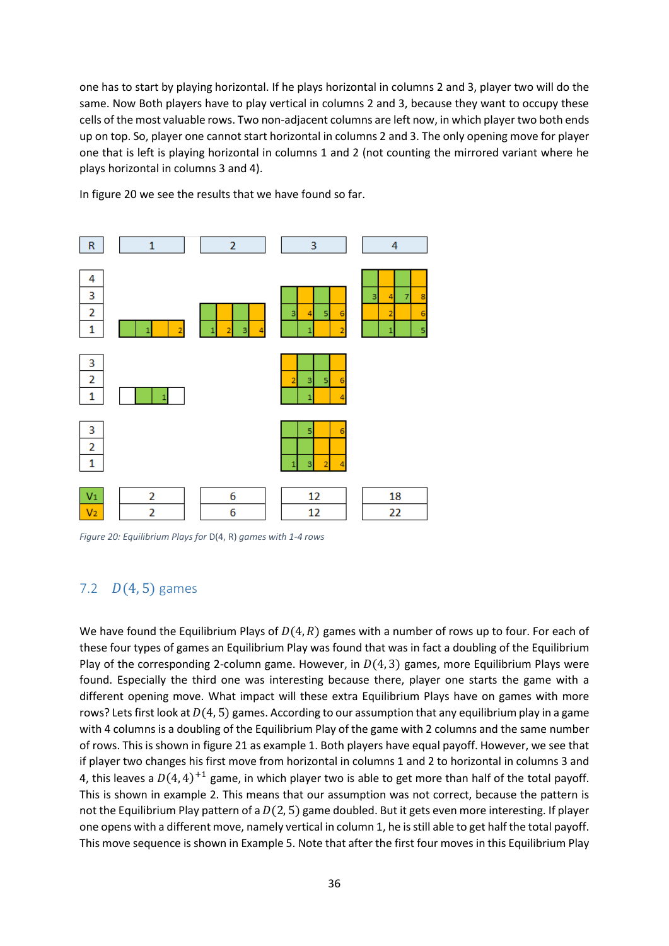one has to start by playing horizontal. If he plays horizontal in columns 2 and 3, player two will do the same. Now Both players have to play vertical in columns 2 and 3, because they want to occupy these cells of the most valuable rows. Two non-adjacent columns are left now, in which player two both ends up on top. So, player one cannot start horizontal in columns 2 and 3. The only opening move for player one that is left is playing horizontal in columns 1 and 2 (not counting the mirrored variant where he plays horizontal in columns 3 and 4).

In figure 20 we see the results that we have found so far.



*Figure 20: Equilibrium Plays for* D(4, R) *games with 1-4 rows*

## <span id="page-36-0"></span>7.2  $D(4, 5)$  games

We have found the Equilibrium Plays of  $D(4, R)$  games with a number of rows up to four. For each of these four types of games an Equilibrium Play was found that was in fact a doubling of the Equilibrium Play of the corresponding 2-column game. However, in  $D(4, 3)$  games, more Equilibrium Plays were found. Especially the third one was interesting because there, player one starts the game with a different opening move. What impact will these extra Equilibrium Plays have on games with more rows? Lets first look at  $D(4, 5)$  games. According to our assumption that any equilibrium play in a game with 4 columns is a doubling of the Equilibrium Play of the game with 2 columns and the same number of rows. This is shown in figure 21 as example 1. Both players have equal payoff. However, we see that if player two changes his first move from horizontal in columns 1 and 2 to horizontal in columns 3 and 4, this leaves a  $D(4, 4)^{+1}$  game, in which player two is able to get more than half of the total payoff. This is shown in example 2. This means that our assumption was not correct, because the pattern is not the Equilibrium Play pattern of a  $D(2, 5)$  game doubled. But it gets even more interesting. If player one opens with a different move, namely vertical in column 1, he is still able to get half the total payoff. This move sequence is shown in Example 5. Note that after the first four moves in this Equilibrium Play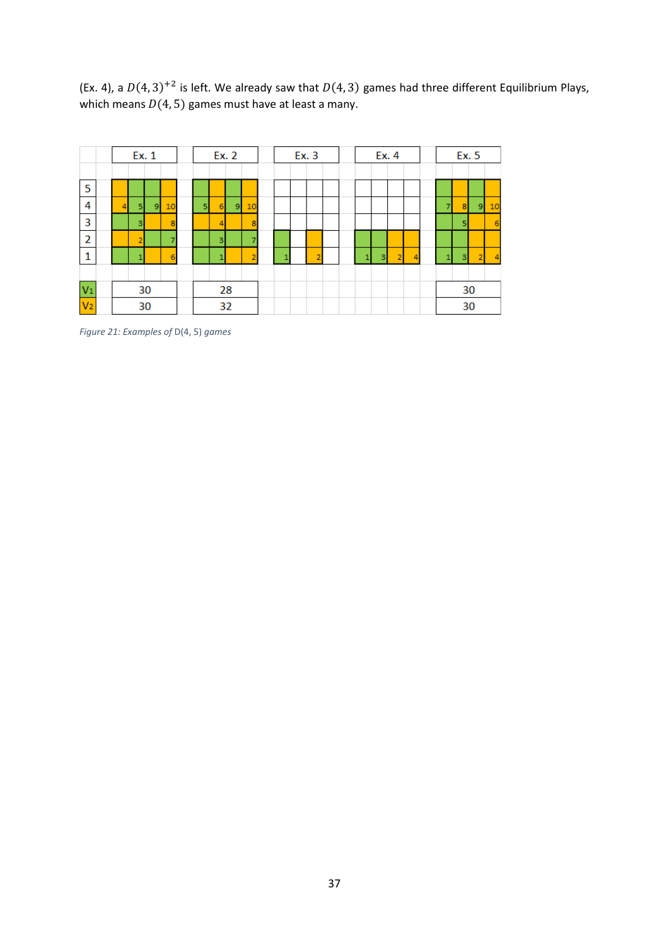(Ex. 4), a  $D(4, 3)^{+2}$  is left. We already saw that  $D(4, 3)$  games had three different Equilibrium Plays, which means  $D(4, 5)$  games must have at least a many.

|                |  | Ex. 1                |                |    |   | Ex. 2 |                |        |   | Ex. 3 |  | Ex. 4 |                |   |  | Ex. 5 |                |    |
|----------------|--|----------------------|----------------|----|---|-------|----------------|--------|---|-------|--|-------|----------------|---|--|-------|----------------|----|
|                |  |                      |                |    |   |       |                |        |   |       |  |       |                |   |  |       |                |    |
| -5             |  |                      |                |    |   |       |                |        |   |       |  |       |                |   |  |       |                |    |
| 4              |  | 5                    | 9 <sub>h</sub> | 10 | 5 | 6     | $\overline{9}$ | 10     |   |       |  |       |                |   |  | 8     | $\overline{9}$ | 10 |
| 3              |  | $\vert$ <sub>3</sub> |                | 8  |   | 4     |                | 8      |   |       |  |       |                |   |  | 5     |                | 6  |
| $\overline{2}$ |  | ∠                    |                | -  |   | 3     |                | -      |   |       |  |       |                |   |  |       |                |    |
| -1             |  |                      |                | 6  |   |       |                | ÷<br>۷ | × | 2     |  | 3     | $\overline{2}$ | 4 |  | 3     | ×              | 4  |
|                |  |                      |                |    |   |       |                |        |   |       |  |       |                |   |  |       |                |    |
| $V_1$          |  |                      | 30             |    |   |       | 28             |        |   |       |  |       |                |   |  |       | 30             |    |
| V <sub>2</sub> |  |                      | 30             |    |   |       | 32             |        |   |       |  |       |                |   |  |       | 30             |    |

*Figure 21: Examples of* D(4, 5) *games*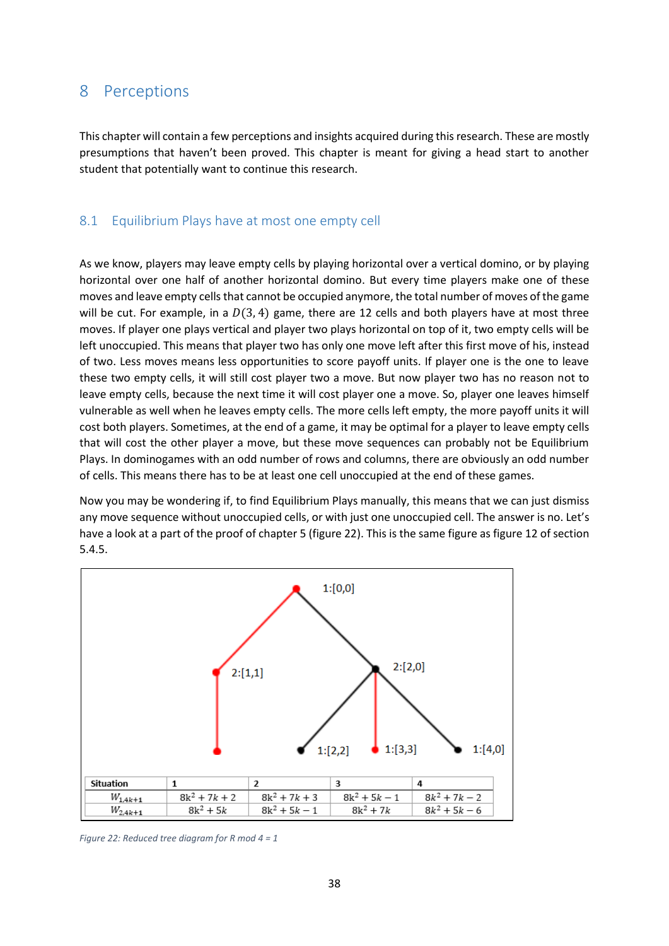## <span id="page-38-0"></span>8 Perceptions

This chapter will contain a few perceptions and insights acquired during this research. These are mostly presumptions that haven't been proved. This chapter is meant for giving a head start to another student that potentially want to continue this research.

## <span id="page-38-1"></span>8.1 Equilibrium Plays have at most one empty cell

As we know, players may leave empty cells by playing horizontal over a vertical domino, or by playing horizontal over one half of another horizontal domino. But every time players make one of these moves and leave empty cells that cannot be occupied anymore, the total number of moves of the game will be cut. For example, in a  $D(3, 4)$  game, there are 12 cells and both players have at most three moves. If player one plays vertical and player two plays horizontal on top of it, two empty cells will be left unoccupied. This means that player two has only one move left after this first move of his, instead of two. Less moves means less opportunities to score payoff units. If player one is the one to leave these two empty cells, it will still cost player two a move. But now player two has no reason not to leave empty cells, because the next time it will cost player one a move. So, player one leaves himself vulnerable as well when he leaves empty cells. The more cells left empty, the more payoff units it will cost both players. Sometimes, at the end of a game, it may be optimal for a player to leave empty cells that will cost the other player a move, but these move sequences can probably not be Equilibrium Plays. In dominogames with an odd number of rows and columns, there are obviously an odd number of cells. This means there has to be at least one cell unoccupied at the end of these games.

Now you may be wondering if, to find Equilibrium Plays manually, this means that we can just dismiss any move sequence without unoccupied cells, or with just one unoccupied cell. The answer is no. Let's have a look at a part of the proof of chapter 5 (figure 22). This is the same figure as figure 12 of section 5.4.5.



*Figure 22: Reduced tree diagram for R mod 4 = 1*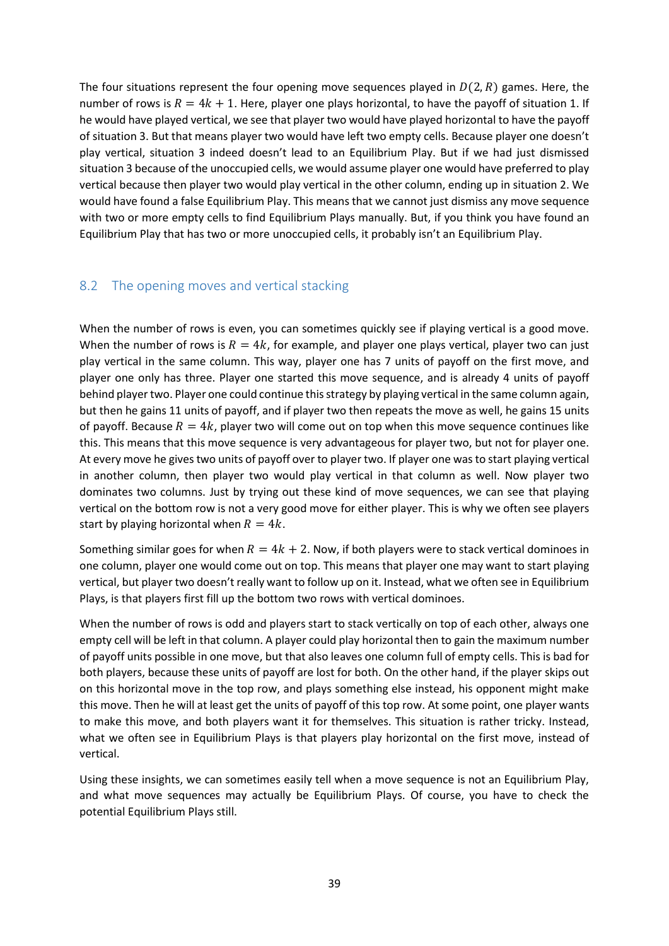The four situations represent the four opening move sequences played in  $D(2, R)$  games. Here, the number of rows is  $R = 4k + 1$ . Here, player one plays horizontal, to have the payoff of situation 1. If he would have played vertical, we see that player two would have played horizontal to have the payoff of situation 3. But that means player two would have left two empty cells. Because player one doesn't play vertical, situation 3 indeed doesn't lead to an Equilibrium Play. But if we had just dismissed situation 3 because of the unoccupied cells, we would assume player one would have preferred to play vertical because then player two would play vertical in the other column, ending up in situation 2. We would have found a false Equilibrium Play. This means that we cannot just dismiss any move sequence with two or more empty cells to find Equilibrium Plays manually. But, if you think you have found an Equilibrium Play that has two or more unoccupied cells, it probably isn't an Equilibrium Play.

## <span id="page-39-0"></span>8.2 The opening moves and vertical stacking

When the number of rows is even, you can sometimes quickly see if playing vertical is a good move. When the number of rows is  $R = 4k$ , for example, and player one plays vertical, player two can just play vertical in the same column. This way, player one has 7 units of payoff on the first move, and player one only has three. Player one started this move sequence, and is already 4 units of payoff behind player two. Player one could continue this strategy by playing vertical in the same column again, but then he gains 11 units of payoff, and if player two then repeats the move as well, he gains 15 units of payoff. Because  $R = 4k$ , player two will come out on top when this move sequence continues like this. This means that this move sequence is very advantageous for player two, but not for player one. At every move he gives two units of payoff over to player two. If player one was to start playing vertical in another column, then player two would play vertical in that column as well. Now player two dominates two columns. Just by trying out these kind of move sequences, we can see that playing vertical on the bottom row is not a very good move for either player. This is why we often see players start by playing horizontal when  $R = 4k$ .

Something similar goes for when  $R = 4k + 2$ . Now, if both players were to stack vertical dominoes in one column, player one would come out on top. This means that player one may want to start playing vertical, but player two doesn't really want to follow up on it. Instead, what we often see in Equilibrium Plays, is that players first fill up the bottom two rows with vertical dominoes.

When the number of rows is odd and players start to stack vertically on top of each other, always one empty cell will be left in that column. A player could play horizontal then to gain the maximum number of payoff units possible in one move, but that also leaves one column full of empty cells. This is bad for both players, because these units of payoff are lost for both. On the other hand, if the player skips out on this horizontal move in the top row, and plays something else instead, his opponent might make this move. Then he will at least get the units of payoff of this top row. At some point, one player wants to make this move, and both players want it for themselves. This situation is rather tricky. Instead, what we often see in Equilibrium Plays is that players play horizontal on the first move, instead of vertical.

Using these insights, we can sometimes easily tell when a move sequence is not an Equilibrium Play, and what move sequences may actually be Equilibrium Plays. Of course, you have to check the potential Equilibrium Plays still.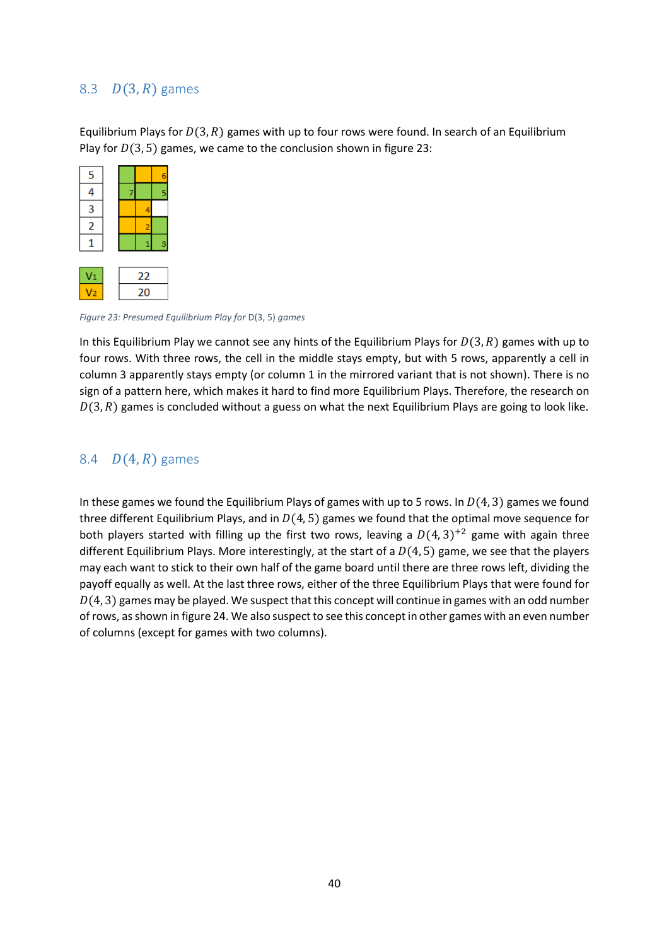## <span id="page-40-0"></span>8.3  $D(3, R)$  games

Equilibrium Plays for  $D(3, R)$  games with up to four rows were found. In search of an Equilibrium Play for  $D(3, 5)$  games, we came to the conclusion shown in figure 23:

| 5                       |  |   |
|-------------------------|--|---|
| 4                       |  | 5 |
| $\overline{\mathbf{3}}$ |  |   |
| $\overline{2}$          |  |   |
|                         |  | ۹ |
|                         |  |   |

*Figure 23: Presumed Equilibrium Play for* D(3, 5) *games*

In this Equilibrium Play we cannot see any hints of the Equilibrium Plays for  $D(3, R)$  games with up to four rows. With three rows, the cell in the middle stays empty, but with 5 rows, apparently a cell in column 3 apparently stays empty (or column 1 in the mirrored variant that is not shown). There is no sign of a pattern here, which makes it hard to find more Equilibrium Plays. Therefore, the research on  $D(3, R)$  games is concluded without a guess on what the next Equilibrium Plays are going to look like.

## <span id="page-40-1"></span>8.4  $D(4, R)$  games

In these games we found the Equilibrium Plays of games with up to 5 rows. In  $D(4, 3)$  games we found three different Equilibrium Plays, and in  $D(4, 5)$  games we found that the optimal move sequence for both players started with filling up the first two rows, leaving a  $D(4, 3)^{+2}$  game with again three different Equilibrium Plays. More interestingly, at the start of a  $D(4, 5)$  game, we see that the players may each want to stick to their own half of the game board until there are three rows left, dividing the payoff equally as well. At the last three rows, either of the three Equilibrium Plays that were found for  $D(4, 3)$  games may be played. We suspect that this concept will continue in games with an odd number of rows, as shown in figure 24. We also suspect to see this concept in other games with an even number of columns (except for games with two columns).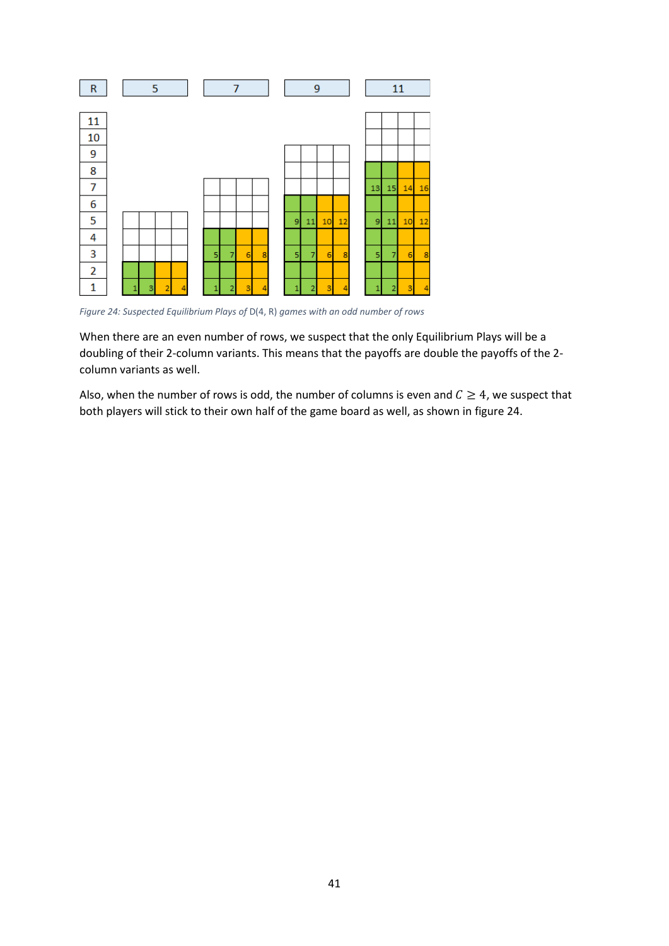

*Figure 24: Suspected Equilibrium Plays of* D(4, R) *games with an odd number of rows*

When there are an even number of rows, we suspect that the only Equilibrium Plays will be a doubling of their 2-column variants. This means that the payoffs are double the payoffs of the 2 column variants as well.

Also, when the number of rows is odd, the number of columns is even and  $C \geq 4$ , we suspect that both players will stick to their own half of the game board as well, as shown in figure 24.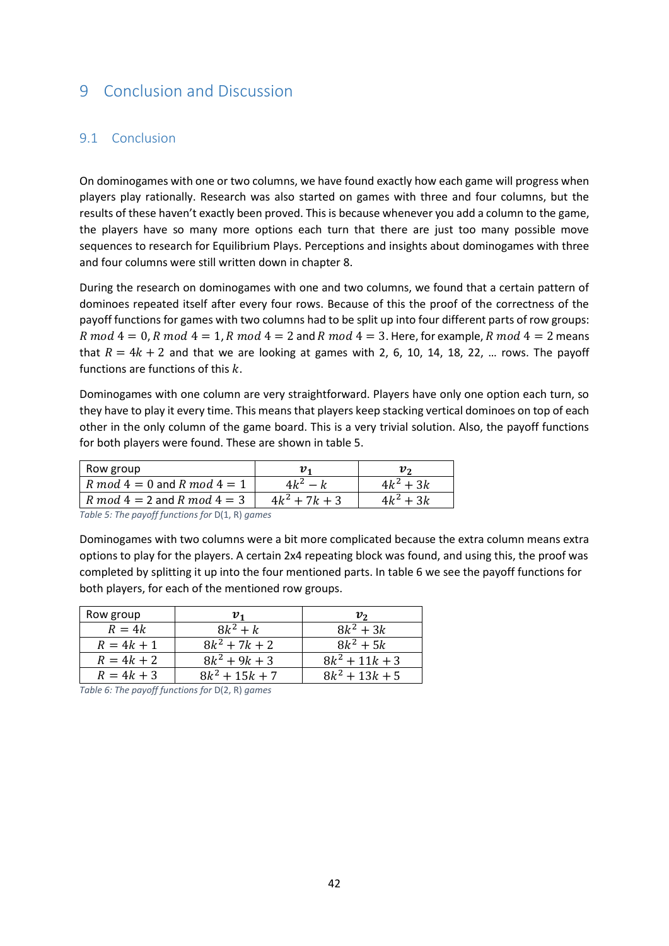## <span id="page-42-0"></span>9 Conclusion and Discussion

### <span id="page-42-1"></span>9.1 Conclusion

On dominogames with one or two columns, we have found exactly how each game will progress when players play rationally. Research was also started on games with three and four columns, but the results of these haven't exactly been proved. This is because whenever you add a column to the game, the players have so many more options each turn that there are just too many possible move sequences to research for Equilibrium Plays. Perceptions and insights about dominogames with three and four columns were still written down in chapter 8.

During the research on dominogames with one and two columns, we found that a certain pattern of dominoes repeated itself after every four rows. Because of this the proof of the correctness of the payoff functions for games with two columns had to be split up into four different parts of row groups: R mod  $4 = 0$ , R mod  $4 = 1$ , R mod  $4 = 2$  and R mod  $4 = 3$ . Here, for example, R mod  $4 = 2$  means that  $R = 4k + 2$  and that we are looking at games with 2, 6, 10, 14, 18, 22, ... rows. The payoff functions are functions of this  $k$ .

Dominogames with one column are very straightforward. Players have only one option each turn, so they have to play it every time. This means that players keep stacking vertical dominoes on top of each other in the only column of the game board. This is a very trivial solution. Also, the payoff functions for both players were found. These are shown in table 5.

| Row group                         |                 |             |
|-----------------------------------|-----------------|-------------|
| R mod $4 = 0$ and R mod $4 = 1$   | $4k^2-k$        | $4k^2 + 3k$ |
| $R \mod 4 = 2$ and $R \mod 4 = 3$ | $4k^2 + 7k + 3$ | $4k^2 + 3k$ |

*Table 5: The payoff functions for* D(1, R) *games*

Dominogames with two columns were a bit more complicated because the extra column means extra options to play for the players. A certain 2x4 repeating block was found, and using this, the proof was completed by splitting it up into the four mentioned parts. In table 6 we see the payoff functions for both players, for each of the mentioned row groups.

| Row group    | $\pmb{v}_{\pmb{\cdot}}$ | ν,               |
|--------------|-------------------------|------------------|
| $R=4k$       | $8k^2 + k$              | $8k^2 + 3k$      |
| $R = 4k + 1$ | $8k^2 + 7k + 2$         | $8k^2 + 5k$      |
| $R = 4k + 2$ | $8k^2 + 9k + 3$         | $8k^2 + 11k + 3$ |
| $R = 4k + 3$ | $8k^2 + 15k + 7$        | $8k^2 + 13k + 5$ |

*Table 6: The payoff functions for* D(2, R) *games*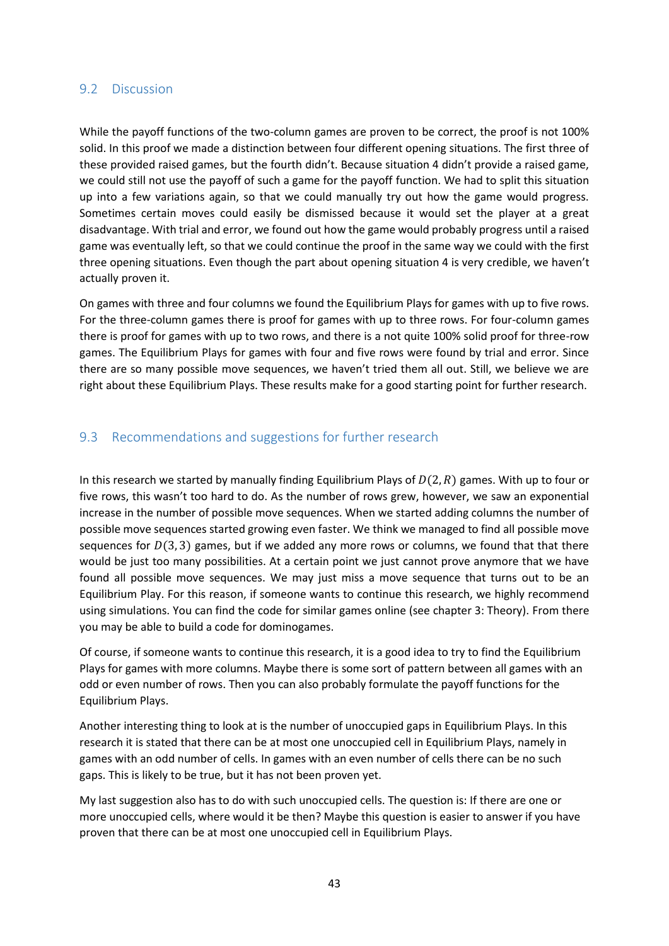#### <span id="page-43-0"></span>9.2 Discussion

While the payoff functions of the two-column games are proven to be correct, the proof is not 100% solid. In this proof we made a distinction between four different opening situations. The first three of these provided raised games, but the fourth didn't. Because situation 4 didn't provide a raised game, we could still not use the payoff of such a game for the payoff function. We had to split this situation up into a few variations again, so that we could manually try out how the game would progress. Sometimes certain moves could easily be dismissed because it would set the player at a great disadvantage. With trial and error, we found out how the game would probably progress until a raised game was eventually left, so that we could continue the proof in the same way we could with the first three opening situations. Even though the part about opening situation 4 is very credible, we haven't actually proven it.

On games with three and four columns we found the Equilibrium Plays for games with up to five rows. For the three-column games there is proof for games with up to three rows. For four-column games there is proof for games with up to two rows, and there is a not quite 100% solid proof for three-row games. The Equilibrium Plays for games with four and five rows were found by trial and error. Since there are so many possible move sequences, we haven't tried them all out. Still, we believe we are right about these Equilibrium Plays. These results make for a good starting point for further research.

## <span id="page-43-1"></span>9.3 Recommendations and suggestions for further research

In this research we started by manually finding Equilibrium Plays of  $D(2, R)$  games. With up to four or five rows, this wasn't too hard to do. As the number of rows grew, however, we saw an exponential increase in the number of possible move sequences. When we started adding columns the number of possible move sequences started growing even faster. We think we managed to find all possible move sequences for  $D(3, 3)$  games, but if we added any more rows or columns, we found that that there would be just too many possibilities. At a certain point we just cannot prove anymore that we have found all possible move sequences. We may just miss a move sequence that turns out to be an Equilibrium Play. For this reason, if someone wants to continue this research, we highly recommend using simulations. You can find the code for similar games online (see chapter 3: Theory). From there you may be able to build a code for dominogames.

Of course, if someone wants to continue this research, it is a good idea to try to find the Equilibrium Plays for games with more columns. Maybe there is some sort of pattern between all games with an odd or even number of rows. Then you can also probably formulate the payoff functions for the Equilibrium Plays.

Another interesting thing to look at is the number of unoccupied gaps in Equilibrium Plays. In this research it is stated that there can be at most one unoccupied cell in Equilibrium Plays, namely in games with an odd number of cells. In games with an even number of cells there can be no such gaps. This is likely to be true, but it has not been proven yet.

My last suggestion also has to do with such unoccupied cells. The question is: If there are one or more unoccupied cells, where would it be then? Maybe this question is easier to answer if you have proven that there can be at most one unoccupied cell in Equilibrium Plays.